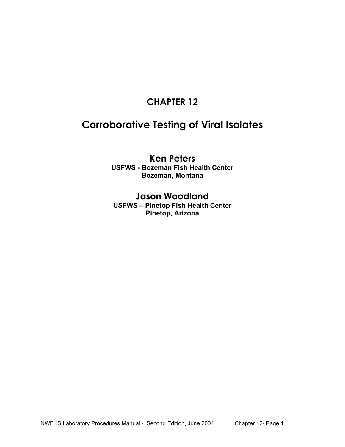# **CHAPTER 12**

# **Corroborative Testing of Viral Isolates**

# **Ken Peters USFWS - Bozeman Fish Health Center Bozeman, Montana**

# **Jason Woodland**

**USFWS – Pinetop Fish Health Center Pinetop, Arizona**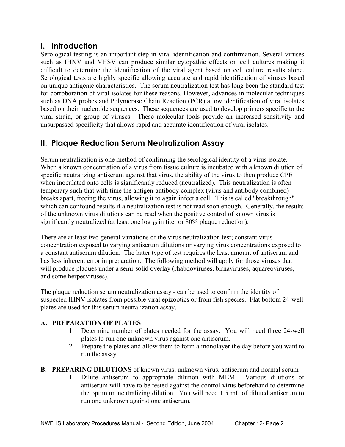# **I. Introduction**

Serological testing is an important step in viral identification and confirmation. Several viruses such as IHNV and VHSV can produce similar cytopathic effects on cell cultures making it difficult to determine the identification of the viral agent based on cell culture results alone. Serological tests are highly specific allowing accurate and rapid identification of viruses based on unique antigenic characteristics. The serum neutralization test has long been the standard test for corroboration of viral isolates for these reasons. However, advances in molecular techniques such as DNA probes and Polymerase Chain Reaction (PCR) allow identification of viral isolates based on their nucleotide sequences. These sequences are used to develop primers specific to the viral strain, or group of viruses. These molecular tools provide an increased sensitivity and unsurpassed specificity that allows rapid and accurate identification of viral isolates.

# **II. Plaque Reduction Serum Neutralization Assay**

Serum neutralization is one method of confirming the serological identity of a virus isolate. When a known concentration of a virus from tissue culture is incubated with a known dilution of specific neutralizing antiserum against that virus, the ability of the virus to then produce CPE when inoculated onto cells is significantly reduced (neutralized). This neutralization is often temporary such that with time the antigen-antibody complex (virus and antibody combined) breaks apart, freeing the virus, allowing it to again infect a cell. This is called "breakthrough" which can confound results if a neutralization test is not read soon enough. Generally, the results of the unknown virus dilutions can be read when the positive control of known virus is significantly neutralized (at least one  $log_{10}$  in titer or 80% plaque reduction).

There are at least two general variations of the virus neutralization test; constant virus concentration exposed to varying antiserum dilutions or varying virus concentrations exposed to a constant antiserum dilution. The latter type of test requires the least amount of antiserum and has less inherent error in preparation. The following method will apply for those viruses that will produce plaques under a semi-solid overlay (rhabdoviruses, birnaviruses, aquareoviruses, and some herpesviruses).

The plaque reduction serum neutralization assay - can be used to confirm the identity of suspected IHNV isolates from possible viral epizootics or from fish species. Flat bottom 24-well plates are used for this serum neutralization assay.

# **A. PREPARATION OF PLATES**

- 1. Determine number of plates needed for the assay. You will need three 24-well plates to run one unknown virus against one antiserum.
- 2. Prepare the plates and allow them to form a monolayer the day before you want to run the assay.
- **B. PREPARING DILUTIONS** of known virus, unknown virus, antiserum and normal serum
	- 1. Dilute antiserum to appropriate dilution with MEM. Various dilutions of antiserum will have to be tested against the control virus beforehand to determine the optimum neutralizing dilution. You will need 1.5 mL of diluted antiserum to run one unknown against one antiserum.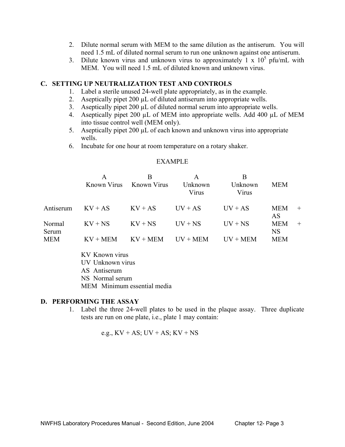- 2. Dilute normal serum with MEM to the same dilution as the antiserum. You will need 1.5 mL of diluted normal serum to run one unknown against one antiserum.
- 3. Dilute known virus and unknown virus to approximately  $1 \times 10^5$  pfu/mL with MEM. You will need 1.5 mL of diluted known and unknown virus.

#### **C. SETTING UP NEUTRALIZATION TEST AND CONTROLS**

- 1. Label a sterile unused 24-well plate appropriately, as in the example.
- 2. Aseptically pipet 200 µL of diluted antiserum into appropriate wells.
- 3. Aseptically pipet 200 µL of diluted normal serum into appropriate wells.
- 4. Aseptically pipet 200 µL of MEM into appropriate wells. Add 400 µL of MEM into tissue control well (MEM only).
- 5. Aseptically pipet 200 µL of each known and unknown virus into appropriate wells.
- 6. Incubate for one hour at room temperature on a rotary shaker.

#### EXAMPLE

|                 | Known Virus | В<br>Known Virus | A<br>Unknown<br>Virus | B<br>Unknown<br>Virus | <b>MEM</b>              |        |
|-----------------|-------------|------------------|-----------------------|-----------------------|-------------------------|--------|
| Antiserum       | $KV + AS$   | $KV + AS$        | $UV + AS$             | $UV + AS$             | <b>MEM</b><br>AS        | $^{+}$ |
| Normal<br>Serum | $KV + NS$   | $KV + NS$        | $UV + NS$             | $UV + NS$             | <b>MEM</b><br><b>NS</b> | $^{+}$ |
| MEM             | $KV + MEM$  | $KV + MEM$       | $UV + MEM$            | $UV + MEM$            | <b>MEM</b>              |        |

 KV Known virus UV Unknown virus AS Antiserum NS Normal serum MEM Minimum essential media

#### **D. PERFORMING THE ASSAY**

 1. Label the three 24-well plates to be used in the plaque assay. Three duplicate tests are run on one plate, i.e., plate 1 may contain:

e.g.,  $KV + AS$ ;  $UV + AS$ ;  $KV + NS$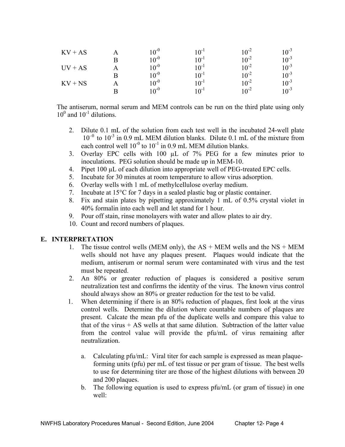| $KV + AS$ |   | $10^{-0}$ | $10^{-1}$ | $10^{-2}$ | $10^{-3}$ |
|-----------|---|-----------|-----------|-----------|-----------|
|           |   | $10^{-0}$ | $10^{-1}$ | $10^{-2}$ | $10^{-3}$ |
| $UV + AS$ |   | $10^{-0}$ | $10^{-1}$ | $10^{-2}$ | $10^{-3}$ |
|           | R | $10^{-0}$ | $10^{-1}$ | $10^{-2}$ | $10^{-3}$ |
| $KV + NS$ |   | $10^{-0}$ | $10^{-1}$ | $10^{-2}$ | $10^{-3}$ |
|           | R | $10^{-0}$ | $10^{-1}$ | $10^{-2}$ | $10^{-3}$ |

 The antiserum, normal serum and MEM controls can be run on the third plate using only  $10^0$  and  $10^{-1}$  dilutions.

- 2. Dilute 0.1 mL of the solution from each test well in the incubated 24-well plate  $10^{-0}$  to  $10^{-3}$  in 0.9 mL MEM dilution blanks. Dilute 0.1 mL of the mixture from each control well  $10^{-0}$  to  $10^{-1}$  in 0.9 mL MEM dilution blanks.
- 3. Overlay EPC cells with 100 µL of 7% PEG for a few minutes prior to inoculations. PEG solution should be made up in MEM-10.
- 4. Pipet 100 µL of each dilution into appropriate well of PEG-treated EPC cells.
- 5. Incubate for 30 minutes at room temperature to allow virus adsorption.
- 6. Overlay wells with 1 mL of methylcellulose overlay medium.
- 7. Incubate at 15°C for 7 days in a sealed plastic bag or plastic container.
- 8. Fix and stain plates by pipetting approximately 1 mL of 0.5% crystal violet in 40% formalin into each well and let stand for 1 hour.
- 9. Pour off stain, rinse monolayers with water and allow plates to air dry.
- 10. Count and record numbers of plaques.

# **E. INTERPRETATION**

- 1. The tissue control wells (MEM only), the  $AS + MEM$  wells and the  $NS + MEM$ wells should not have any plaques present. Plaques would indicate that the medium, antiserum or normal serum were contaminated with virus and the test must be repeated.
- 2. An 80% or greater reduction of plaques is considered a positive serum neutralization test and confirms the identity of the virus. The known virus control should always show an 80% or greater reduction for the test to be valid.
- 1. When determining if there is an 80% reduction of plaques, first look at the virus control wells. Determine the dilution where countable numbers of plaques are present. Calcate the mean pfu of the duplicate wells and compare this value to that of the virus  $+ AS$  wells at that same dilution. Subtraction of the latter value from the control value will provide the pfu/mL of virus remaining after neutralization.
	- a. Calculating pfu/mL: Viral titer for each sample is expressed as mean plaqueforming units (pfu) per mL of test tissue or per gram of tissue. The best wells to use for determining titer are those of the highest dilutions with between 20 and 200 plaques.
	- b. The following equation is used to express pfu/mL (or gram of tissue) in one well: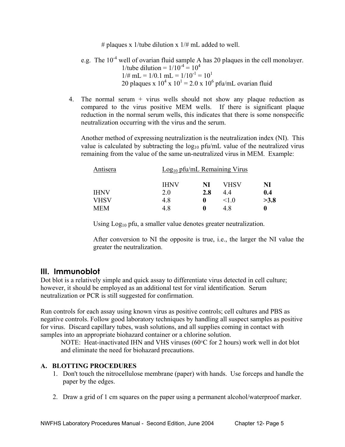# plaques x 1/tube dilution x  $1/\#$  mL added to well.

e.g. The 10<sup>-4</sup> well of ovarian fluid sample A has 20 plaques in the cell monolayer.  
\n1/tube dilution = 
$$
1/10^{-4} = 10^4
$$
  
\n $1/\# \text{ mL} = 1/0.1 \text{ mL} = 1/10^{-1} = 10^1$   
\n20 plaques x 10<sup>4</sup> x 10<sup>1</sup> = 2.0 x 10<sup>6</sup> pfu/mL ovarian fluid

 4. The normal serum + virus wells should not show any plaque reduction as compared to the virus positive MEM wells. If there is significant plaque reduction in the normal serum wells, this indicates that there is some nonspecific neutralization occurring with the virus and the serum.

 Another method of expressing neutralization is the neutralization index (NI). This value is calculated by subtracting the  $log_{10}$  pfu/mL value of the neutralized virus remaining from the value of the same un-neutralized virus in MEM. Example:

| Antisera    | $Log10$ pfu/mL Remaining Virus |          |            |      |
|-------------|--------------------------------|----------|------------|------|
|             | <b>IHNV</b>                    | NI       | VHSV       | NI   |
| <b>IHNV</b> | 2.0                            | 2.8      | 4.4        | 0.4  |
| <b>VHSV</b> | 4.8                            | $\bf{0}$ | $\leq$ 1 0 | >3.8 |
| <b>MEM</b>  | 4.8                            | $\bf{0}$ | 4.8        | 0    |

Using Log<sub>10</sub> pfu, a smaller value denotes greater neutralization.

 After conversion to NI the opposite is true, i.e., the larger the NI value the greater the neutralization.

# **III. Immunoblot**

Dot blot is a relatively simple and quick assay to differentiate virus detected in cell culture; however, it should be employed as an additional test for viral identification. Serum neutralization or PCR is still suggested for confirmation.

Run controls for each assay using known virus as positive controls; cell cultures and PBS as negative controls. Follow good laboratory techniques by handling all suspect samples as positive for virus. Discard capillary tubes, wash solutions, and all supplies coming in contact with samples into an appropriate biohazard container or a chlorine solution.

NOTE: Heat-inactivated IHN and VHS viruses (60°C for 2 hours) work well in dot blot and eliminate the need for biohazard precautions.

#### **A. BLOTTING PROCEDURES**

- 1. Don't touch the nitrocellulose membrane (paper) with hands. Use forceps and handle the paper by the edges.
- 2. Draw a grid of 1 cm squares on the paper using a permanent alcohol/waterproof marker.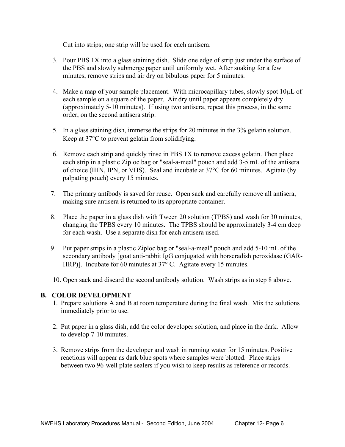Cut into strips; one strip will be used for each antisera.

- 3. Pour PBS 1X into a glass staining dish. Slide one edge of strip just under the surface of the PBS and slowly submerge paper until uniformly wet. After soaking for a few minutes, remove strips and air dry on bibulous paper for 5 minutes.
- 4. Make a map of your sample placement. With microcapillary tubes, slowly spot  $10\mu$ L of each sample on a square of the paper. Air dry until paper appears completely dry (approximately 5-10 minutes). If using two antisera, repeat this process, in the same order, on the second antisera strip.
- 5. In a glass staining dish, immerse the strips for 20 minutes in the 3% gelatin solution. Keep at 37°C to prevent gelatin from solidifying.
- 6. Remove each strip and quickly rinse in PBS 1X to remove excess gelatin. Then place each strip in a plastic Ziploc bag or "seal-a-meal" pouch and add 3-5 mL of the antisera of choice (IHN, IPN, or VHS). Seal and incubate at 37°C for 60 minutes. Agitate (by palpating pouch) every 15 minutes.
- 7. The primary antibody is saved for reuse. Open sack and carefully remove all antisera, making sure antisera is returned to its appropriate container.
- 8. Place the paper in a glass dish with Tween 20 solution (TPBS) and wash for 30 minutes, changing the TPBS every 10 minutes. The TPBS should be approximately 3-4 cm deep for each wash. Use a separate dish for each antisera used.
- 9. Put paper strips in a plastic Ziploc bag or "seal-a-meal" pouch and add 5-10 mL of the secondary antibody [goat anti-rabbit IgG conjugated with horseradish peroxidase (GAR- HRP)]. Incubate for 60 minutes at 37° C. Agitate every 15 minutes.
- 10. Open sack and discard the second antibody solution. Wash strips as in step 8 above.

#### **B. COLOR DEVELOPMENT**

- 1. Prepare solutions A and B at room temperature during the final wash. Mix the solutions immediately prior to use.
- 2. Put paper in a glass dish, add the color developer solution, and place in the dark. Allow to develop 7-10 minutes.
- 3. Remove strips from the developer and wash in running water for 15 minutes. Positive reactions will appear as dark blue spots where samples were blotted. Place strips between two 96-well plate sealers if you wish to keep results as reference or records.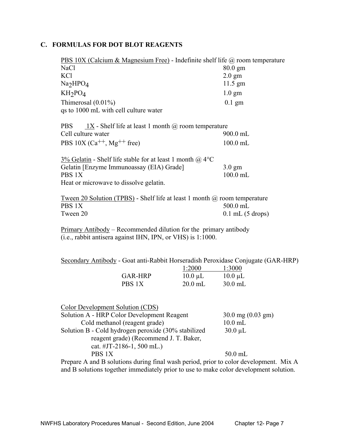#### **C. FORMULAS FOR DOT BLOT REAGENTS**

| <b>PBS 10X (Calcium &amp; Magnesium Free)</b> - Indefinite shelf life $\omega$ room temperature |                   |
|-------------------------------------------------------------------------------------------------|-------------------|
| NaCl                                                                                            | $80.0 \text{ gm}$ |
| KC <sub>1</sub>                                                                                 | $2.0 \text{ gm}$  |
| Na <sub>2</sub> HPO <sub>4</sub>                                                                | $11.5$ gm         |
| $KH_2PO_4$                                                                                      | $1.0 \text{ gm}$  |
| Thimerosal $(0.01\%)$                                                                           | $0.1$ gm          |
| qs to 1000 mL with cell culture water                                                           |                   |
| $1X$ - Shelf life at least 1 month $\omega$ room temperature<br>PBS.                            |                   |
| Cell culture water                                                                              | $900.0$ mL        |
| PBS $10X$ (Ca <sup>++</sup> , Mg <sup>++</sup> free)                                            | $100.0$ mL        |
| 3% Gelatin - Shelf life stable for at least 1 month $\omega$ 4°C                                |                   |
| Gelatin [Enzyme Immunoassay (EIA) Grade]                                                        | $3.0 \text{ gm}$  |
| PBS 1X                                                                                          | $100.0$ mL        |
| Heat or microwave to dissolve gelatin.                                                          |                   |

 Tween 20 Solution (TPBS) - Shelf life at least 1 month @ room temperature PBS 1X 500.0 mL Tween 20 0.1 mL (5 drops)

Primary Antibody – Recommended dilution for the primary antibody (i.e., rabbit antisera against IHN, IPN, or VHS) is 1:1000.

Secondary Antibody - Goat anti-Rabbit Horseradish Peroxidase Conjugate (GAR-HRP)

|                | 1:2000       | 1:3000       |
|----------------|--------------|--------------|
| <b>GAR-HRP</b> | $10.0 \mu L$ | $10.0 \mu L$ |
| PBS 1X         | $20.0$ mL    | $30.0$ mL    |

| Color Development Solution (CDS)                                                         |                       |  |
|------------------------------------------------------------------------------------------|-----------------------|--|
| Solution A - HRP Color Development Reagent                                               | $30.0$ mg $(0.03$ gm) |  |
| Cold methanol (reagent grade)                                                            | $10.0$ mL             |  |
| Solution B - Cold hydrogen peroxide (30% stabilized                                      | $30.0 \mu L$          |  |
| reagent grade) (Recommend J. T. Baker,                                                   |                       |  |
| cat. #JT-2186-1, 500 mL.)                                                                |                       |  |
| PBS 1X                                                                                   | $50.0$ mL             |  |
| <u>Dropero A and B solutions during final west period</u> prior to solar development. Mi |                       |  |

Prepare A and B solutions during final wash period, prior to color development. Mix A and B solutions together immediately prior to use to make color development solution.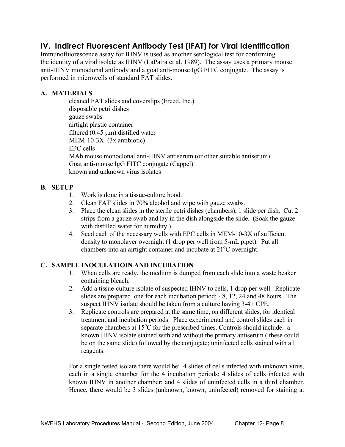# **IV. Indirect Fluorescent Antibody Test (IFAT) for Viral Identification**

Immunofluorescence assay for IHNV is used as another serological test for confirming the identity of a viral isolate as IHNV (LaPatra et al. 1989). The assay uses a primary mouse anti-IHNV monoclonal antibody and a goat anti-mouse IgG FITC conjugate. The assay is performed in microwells of standard FAT slides.

# **A. MATERIALS**

 cleaned FAT slides and coverslips (Freed, Inc.) disposable petri dishes gauze swabs airtight plastic container filtered  $(0.45 \mu m)$  distilled water MEM-10-3X (3x antibiotic) EPC cells MAb mouse monoclonal anti-IHNV antiserum (or other suitable antiserum) Goat anti-mouse IgG FITC conjugate (Cappel) known and unknown virus isolates

# **B. SETUP**

- 1. Work is done in a tissue-culture hood.
- 2. Clean FAT slides in 70% alcohol and wipe with gauze swabs.
- 3. Place the clean slides in the sterile petri dishes (chambers), 1 slide per dish. Cut 2 strips from a gauze swab and lay in the dish alongside the slide. (Soak the gauze with distilled water for humidity.)
- 4. Seed each of the necessary wells with EPC cells in MEM-10-3X of sufficient density to monolayer overnight (1 drop per well from 5-mL pipet). Put all chambers into an airtight container and incubate at 21<sup>°</sup>C overnight.

# **C. SAMPLE INOCULATIOIN AND INCUBATION**

- 1. When cells are ready, the medium is dumped from each slide into a waste beaker containing bleach.
- 2. Add a tissue-culture isolate of suspected IHNV to cells, 1 drop per well. Replicate slides are prepared, one for each incubation period; - 8, 12, 24 and 48 hours. The suspect IHNV isolate should be taken from a culture having 3-4+ CPE.
- 3. Replicate controls are prepared at the same time, on different slides, for identical treatment and incubation periods. Place experimental and control slides each in separate chambers at  $15^{\circ}$ C for the prescribed times. Controls should include: a known IHNV isolate stained with and without the primary antiserum ( these could be on the same slide) followed by the conjugate; uninfected cells stained with all reagents.

 For a single tested isolate there would be: 4 slides of cells infected with unknown virus, each in a single chamber for the 4 incubation periods; 4 slides of cells infected with known IHNV in another chamber; and 4 slides of uninfected cells in a third chamber. Hence, there would be 3 slides (unknown, known, uninfected) removed for staining at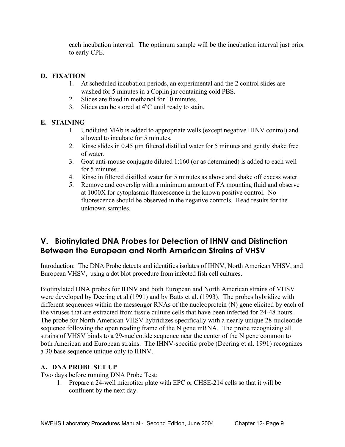each incubation interval. The optimum sample will be the incubation interval just prior to early CPE.

# **D. FIXATION**

- 1. At scheduled incubation periods, an experimental and the 2 control slides are washed for 5 minutes in a Coplin jar containing cold PBS.
- 2. Slides are fixed in methanol for 10 minutes.
- 3. Slides can be stored at  $4^{\circ}$ C until ready to stain.

# **E. STAINING**

- 1. Undiluted MAb is added to appropriate wells (except negative IHNV control) and allowed to incubate for 5 minutes.
- 2. Rinse slides in 0.45 µm filtered distilled water for 5 minutes and gently shake free of water.
- 3. Goat anti-mouse conjugate diluted 1:160 (or as determined) is added to each well for 5 minutes.
- 4. Rinse in filtered distilled water for 5 minutes as above and shake off excess water.
- 5. Remove and coverslip with a minimum amount of FA mounting fluid and observe at 1000X for cytoplasmic fluorescence in the known positive control. No fluorescence should be observed in the negative controls. Read results for the unknown samples.

# **V. Biotinylated DNA Probes for Detection of IHNV and Distinction Between the European and North American Strains of VHSV**

Introduction: The DNA Probe detects and identifies isolates of IHNV, North American VHSV, and European VHSV, using a dot blot procedure from infected fish cell cultures.

Biotinylated DNA probes for IHNV and both European and North American strains of VHSV were developed by Deering et al.(1991) and by Batts et al. (1993). The probes hybridize with different sequences within the messenger RNAs of the nucleoprotein (N) gene elicited by each of the viruses that are extracted from tissue culture cells that have been infected for 24-48 hours. The probe for North American VHSV hybridizes specifically with a nearly unique 28-nucleotide sequence following the open reading frame of the N gene mRNA. The probe recognizing all strains of VHSV binds to a 29-nucleotide sequence near the center of the N gene common to both American and European strains. The IHNV-specific probe (Deering et al. 1991) recognizes a 30 base sequence unique only to IHNV.

# **A. DNA PROBE SET UP**

Two days before running DNA Probe Test:

 1. Prepare a 24-well microtiter plate with EPC or CHSE-214 cells so that it will be confluent by the next day.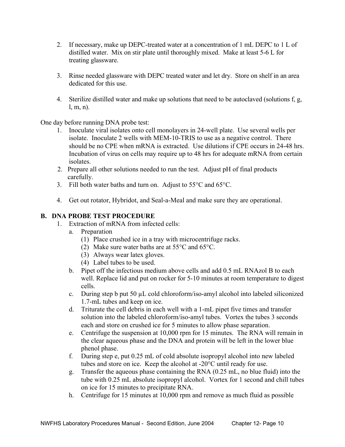- 2. If necessary, make up DEPC-treated water at a concentration of 1 mL DEPC to 1 L of distilled water. Mix on stir plate until thoroughly mixed. Make at least 5-6 L for treating glassware.
- 3. Rinse needed glassware with DEPC treated water and let dry. Store on shelf in an area dedicated for this use.
- 4. Sterilize distilled water and make up solutions that need to be autoclaved (solutions f, g, l, m, n).

One day before running DNA probe test:

- 1. Inoculate viral isolates onto cell monolayers in 24-well plate. Use several wells per isolate. Inoculate 2 wells with MEM-10-TRIS to use as a negative control. There should be no CPE when mRNA is extracted. Use dilutions if CPE occurs in 24-48 hrs. Incubation of virus on cells may require up to 48 hrs for adequate mRNA from certain isolates.
- 2. Prepare all other solutions needed to run the test. Adjust pH of final products carefully.
- 3. Fill both water baths and turn on. Adjust to 55°C and 65°C.
- 4. Get out rotator, Hybridot, and Seal-a-Meal and make sure they are operational.

## **B. DNA PROBE TEST PROCEDURE**

- 1. Extraction of mRNA from infected cells:
	- a. Preparation
		- (1) Place crushed ice in a tray with microcentrifuge racks.
		- (2) Make sure water baths are at 55°C and 65°C.
		- (3) Always wear latex gloves.
		- (4) Label tubes to be used.
	- b. Pipet off the infectious medium above cells and add 0.5 mL RNAzol B to each well. Replace lid and put on rocker for 5-10 minutes at room temperature to digest cells.
	- c. During step b put 50 µL cold chloroform/iso-amyl alcohol into labeled siliconized 1.7-mL tubes and keep on ice.
	- d. Triturate the cell debris in each well with a 1-mL pipet five times and transfer solution into the labeled chloroform/iso-amyl tubes. Vortex the tubes 3 seconds each and store on crushed ice for 5 minutes to allow phase separation.
	- e. Centrifuge the suspension at 10,000 rpm for 15 minutes. The RNA will remain in the clear aqueous phase and the DNA and protein will be left in the lower blue phenol phase.
	- f. During step e, put 0.25 mL of cold absolute isopropyl alcohol into new labeled tubes and store on ice. Keep the alcohol at -20°C until ready for use.
	- g. Transfer the aqueous phase containing the RNA (0.25 mL, no blue fluid) into the tube with 0.25 mL absolute isopropyl alcohol. Vortex for 1 second and chill tubes on ice for 15 minutes to precipitate RNA.
	- h. Centrifuge for 15 minutes at 10,000 rpm and remove as much fluid as possible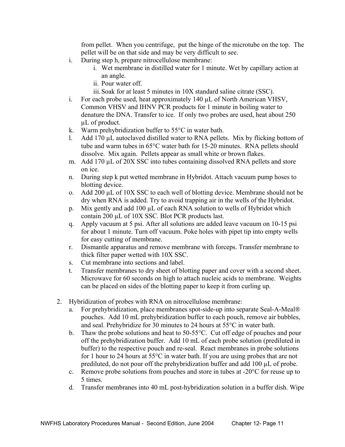from pellet. When you centrifuge, put the hinge of the microtube on the top. The pellet will be on that side and may be very difficult to see.

- i. During step h, prepare nitrocellulose membrane:
	- i. Wet membrane in distilled water for 1 minute. Wet by capillary action at an angle.
	- ii. Pour water off.
	- iii. Soak for at least 5 minutes in 10X standard saline citrate (SSC).
- i. For each probe used, heat approximately 140 µL of North American VHSV, Common VHSV and IHNV PCR products for 1 minute in boiling water to denature the DNA. Transfer to ice. If only two probes are used, heat about 250 µL of product.
- k. Warm prehybridization buffer to 55°C in water bath.
- l. Add 170 µL autoclaved distilled water to RNA pellets. Mix by flicking bottom of tube and warm tubes in 65°C water bath for 15-20 minutes. RNA pellets should dissolve. Mix again. Pellets appear as small white or brown flakes.
- m. Add 170 µL of 20X SSC into tubes containing dissolved RNA pellets and store on ice.
- n. During step k put wetted membrane in Hybridot. Attach vacuum pump hoses to blotting device.
- o. Add 200 µL of 10X SSC to each well of blotting device. Membrane should not be dry when RNA is added. Try to avoid trapping air in the wells of the Hybridot.
- p. Mix gently and add 100 µL of each RNA solution to wells of Hybridot which contain 200 µL of 10X SSC. Blot PCR products last.
- q. Apply vacuum at 5 psi. After all solutions are added leave vacuum on 10-15 psi for about 1 minute. Turn off vacuum. Poke holes with pipet tip into empty wells for easy cutting of membrane.
- r. Dismantle apparatus and remove membrane with forceps. Transfer membrane to thick filter paper wetted with 10X SSC.
- s. Cut membrane into sections and label.
- t. Transfer membranes to dry sheet of blotting paper and cover with a second sheet. Microwave for 60 seconds on high to attach nucleic acids to membrane. Weights can be placed on sides of the blotting paper to keep it from curling up.
- 2. Hybridization of probes with RNA on nitrocellulose membrane:
	- a. For prehybridization, place membranes spot-side-up into separate Seal-A-Meal® pouches. Add 10 mL prehybridization buffer to each pouch, remove air bubbles, and seal. Prehybridize for 30 minutes to 24 hours at 55°C in water bath.
	- b. Thaw the probe solutions and heat to 50-55°C. Cut off edge of pouches and pour off the prehybridization buffer. Add 10 mL of each probe solution (prediluted in buffer) to the respective pouch and re-seal. React membranes in probe solutions for 1 hour to 24 hours at 55°C in water bath. If you are using probes that are not prediluted, do not pour off the prehybridization buffer and add 100 µL of probe.
	- c. Remove probe solutions from pouches and store in tubes at -20°C for reuse up to 5 times.
	- d. Transfer membranes into 40 mL post-hybridization solution in a buffer dish. Wipe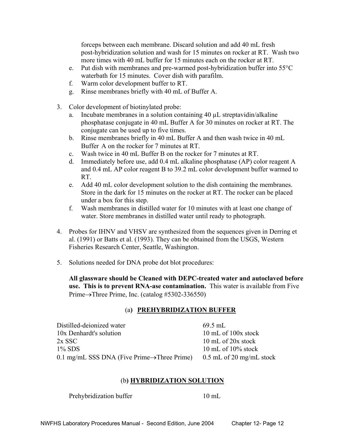forceps between each membrane. Discard solution and add 40 mL fresh post-hybridization solution and wash for 15 minutes on rocker at RT. Wash two more times with 40 mL buffer for 15 minutes each on the rocker at RT.

- e. Put dish with membranes and pre-warmed post-hybridization buffer into 55°C waterbath for 15 minutes. Cover dish with parafilm.
- f. Warm color development buffer to RT.
- g. Rinse membranes briefly with 40 mL of Buffer A.
- 3. Color development of biotinylated probe:
	- a. Incubate membranes in a solution containing 40 µL streptavidin/alkaline phosphatase conjugate in 40 mL Buffer A for 30 minutes on rocker at RT. The conjugate can be used up to five times.
	- b. Rinse membranes briefly in 40 mL Buffer A and then wash twice in 40 mL Buffer A on the rocker for 7 minutes at RT.
	- c. Wash twice in 40 mL Buffer B on the rocker for 7 minutes at RT.
	- d. Immediately before use, add 0.4 mL alkaline phosphatase (AP) color reagent A and 0.4 mL AP color reagent B to 39.2 mL color development buffer warmed to RT.
	- e. Add 40 mL color development solution to the dish containing the membranes. Store in the dark for 15 minutes on the rocker at RT. The rocker can be placed under a box for this step.
	- f. Wash membranes in distilled water for 10 minutes with at least one change of water. Store membranes in distilled water until ready to photograph.
- 4. Probes for IHNV and VHSV are synthesized from the sequences given in Derring et al. (1991) or Batts et al. (1993). They can be obtained from the USGS, Western Fisheries Research Center, Seattle, Washington.
- 5. Solutions needed for DNA probe dot blot procedures:

 **All glassware should be Cleaned with DEPC-treated water and autoclaved before use. This is to prevent RNA-ase contamination.** This water is available from Five Prime→Three Prime, Inc. (catalog #5302-336550)

#### (a**) PREHYBRIDIZATION BUFFER**

| Distilled-deionized water                                | $69.5$ mL                  |
|----------------------------------------------------------|----------------------------|
| 10x Denhardt's solution                                  | 10 mL of $100x$ stock      |
| $2x$ SSC                                                 | 10 mL of 20x stock         |
| $1\%$ SDS                                                | 10 mL of $10\%$ stock      |
| 0.1 mg/mL SSS DNA (Five Prime $\rightarrow$ Three Prime) | $0.5$ mL of 20 mg/mL stock |

#### (b**) HYBRIDIZATION SOLUTION**

Prehybridization buffer 10 mL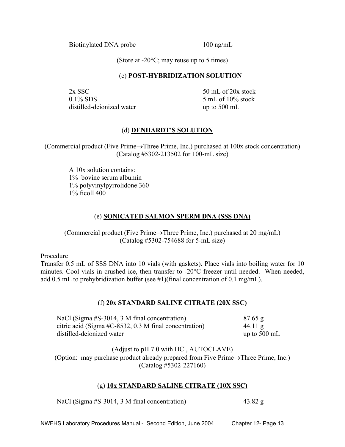Biotinylated DNA probe 100 ng/mL

(Store at  $-20^{\circ}$ C; may reuse up to 5 times)

## (c) **POST-HYBRIDIZATION SOLUTION**

 $2x$  SSC  $50$  mL of  $20x$  stock  $0.1\%$  SDS  $5$  mL of  $10\%$  stock distilled-deionized water up to 500 mL

# (d) **DENHARDT'S SOLUTION**

(Commercial product (Five Prime→Three Prime, Inc.) purchased at 100x stock concentration) (Catalog #5302-213502 for 100-mL size)

 A 10x solution contains: 1% bovine serum albumin 1% polyvinylpyrrolidone 360 1% ficoll 400

# (e) **SONICATED SALMON SPERM DNA (SSS DNA)**

(Commercial product (Five Prime→Three Prime, Inc.) purchased at 20 mg/mL) (Catalog #5302-754688 for 5-mL size)

Procedure

Transfer 0.5 mL of SSS DNA into 10 vials (with gaskets). Place vials into boiling water for 10 minutes. Cool vials in crushed ice, then transfer to -20°C freezer until needed. When needed, add 0.5 mL to prehybridization buffer (see #1)(final concentration of 0.1 mg/mL).

# (f) **20x STANDARD SALINE CITRATE (20X SSC)**

| NaCl (Sigma $#S-3014$ , 3 M final concentration)       | $87.65$ g              |
|--------------------------------------------------------|------------------------|
| citric acid (Sigma #C-8532, 0.3 M final concentration) | $44.11 \text{ g}$      |
| distilled-deionized water                              | up to $500 \text{ mL}$ |

(Adjust to pH 7.0 with HCl, AUTOCLAVE) (Option: may purchase product already prepared from Five Prime→Three Prime, Inc.) (Catalog #5302-227160)

# (g) **10x STANDARD SALINE CITRATE (10X SSC)**

NaCl (Sigma #S-3014, 3 M final concentration) 43.82 g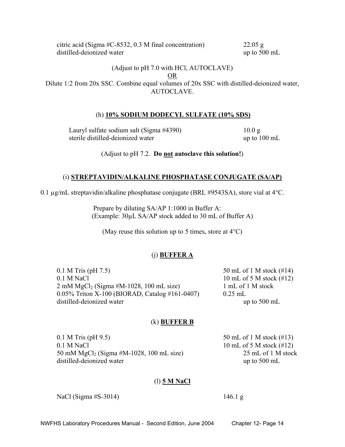citric acid (Sigma #C-8532, 0.3 M final concentration) 22.05 g distilled-deionized water up to 500 mL

#### (Adjust to pH 7.0 with HCl, AUTOCLAVE) OR Dilute 1:2 from 20x SSC. Combine equal volumes of 20x SSC with distilled-deionized water, AUTOCLAVE.

# (h) **10% SODIUM DODECYL SULFATE (10% SDS)**

Lauryl sulfate sodium salt (Sigma #4390) 10.0 g sterile distilled-deionized water up to 100 mL

(Adjust to pH 7.2. **Do not autoclave this solution!**)

#### (i) **STREPTAVIDIN/ALKALINE PHOSPHATASE CONJUGATE (SA/AP)**

0.1 µg/mL streptavidin/alkaline phosphatase conjugate (BRL #9543SA), store vial at 4°C.

 Prepare by diluting SA/AP 1:1000 in Buffer A: (Example: 30µL SA/AP stock added to 30 mL of Buffer A)

(May reuse this solution up to 5 times, store at  $4^{\circ}$ C)

#### (j) **BUFFER A**

0.1 M Tris (pH 7.5) 50 mL of 1 M stock (#14) 0.1 M NaCl 10 mL of 5 M stock  $(\#12)$  $2 \text{ mM } MgCl_2$  (Sigma #M-1028, 100 mL size) 1 mL of 1 M stock 0.05% Triton X-100 (BIORAD, Catalog #161-0407) 0.25 mL distilled-deionized water up to 500 mL

#### (k) **BUFFER B**

0.1 M Tris (pH 9.5) 50 mL of 1 M stock (#13) 0.1 M NaCl  $10 \text{ mL of } 5 \text{ M stock } (\#12)$  50 mM MgCl2 (Sigma #M-1028, 100 mL size) 25 mL of 1 M stock distilled-deionized water up to 500 mL

#### (l) **5 M NaCl**

NaCl (Sigma #S-3014) 146.1 g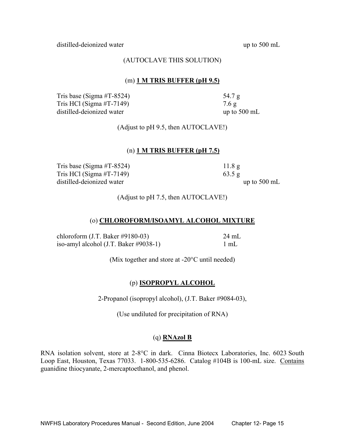distilled-deionized water up to 500 mL

#### (AUTOCLAVE THIS SOLUTION)

#### (m) **1 M TRIS BUFFER (pH 9.5)**

Tris base (Sigma  $\#\text{T-8524}$ ) 54.7 g Tris HCl (Sigma #T-7149)  $7.6 g$ distilled-deionized water up to 500 mL

(Adjust to pH 9.5, then AUTOCLAVE!)

#### (n) **1 M TRIS BUFFER (pH 7.5)**

Tris base (Sigma  $\#\text{T-8524}$ ) 11.8 g Tris HCl (Sigma #T-7149) 63.5 g distilled-deionized water up to 500 mL

(Adjust to pH 7.5, then AUTOCLAVE!)

#### (o) **CHLOROFORM/ISOAMYL ALCOHOL MIXTURE**

 chloroform (J.T. Baker #9180-03) 24 mL iso-amyl alcohol (J.T. Baker #9038-1) 1 mL

(Mix together and store at -20°C until needed)

# (p) **ISOPROPYL ALCOHOL**

2-Propanol (isopropyl alcohol), (J.T. Baker #9084-03),

(Use undiluted for precipitation of RNA)

# (q) **RNAzol B**

RNA isolation solvent, store at 2-8°C in dark. Cinna Biotecx Laboratories, Inc. 6023 South Loop East, Houston, Texas 77033. 1-800-535-6286. Catalog #104B is 100-mL size. Contains guanidine thiocyanate, 2-mercaptoethanol, and phenol.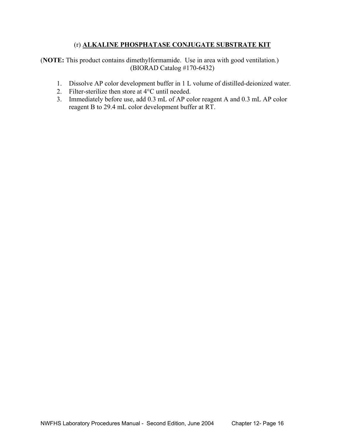# (r) **ALKALINE PHOSPHATASE CONJUGATE SUBSTRATE KIT**

(**NOTE:** This product contains dimethylformamide. Use in area with good ventilation.) (BIORAD Catalog #170-6432)

- 1. Dissolve AP color development buffer in 1 L volume of distilled-deionized water.
- 2. Filter-sterilize then store at 4°C until needed.
- 3. Immediately before use, add 0.3 mL of AP color reagent A and 0.3 mL AP color reagent B to 29.4 mL color development buffer at RT.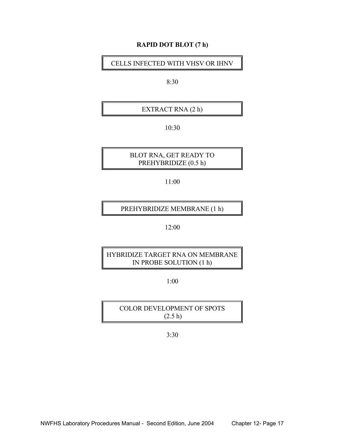#### **RAPID DOT BLOT (7 h)**

CELLS INFECTED WITH VHSV OR IHNV

8:30

EXTRACT RNA (2 h)

10:30

 BLOT RNA, GET READY TO PREHYBRIDIZE (0.5 h)

11:00

PREHYBRIDIZE MEMBRANE (1 h)

12:00

 HYBRIDIZE TARGET RNA ON MEMBRANE IN PROBE SOLUTION (1 h)

1:00

 COLOR DEVELOPMENT OF SPOTS (2.5 h)

3:30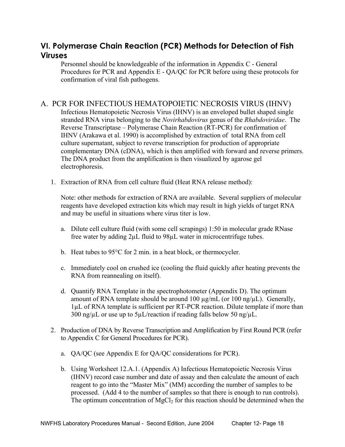# **VI. Polymerase Chain Reaction (PCR) Methods for Detection of Fish Viruses**

Personnel should be knowledgeable of the information in Appendix C - General Procedures for PCR and Appendix E - QA/QC for PCR before using these protocols for confirmation of viral fish pathogens.

# A. PCR FOR INFECTIOUS HEMATOPOIETIC NECROSIS VIRUS (IHNV)

Infectious Hematopoietic Necrosis Virus (IHNV) is an enveloped bullet shaped single stranded RNA virus belonging to the *Novirhabdovirus* genus of the *Rhabdoviridae*. The Reverse Transcriptase – Polymerase Chain Reaction (RT-PCR) for confirmation of IHNV (Arakawa et al. 1990) is accomplished by extraction of total RNA from cell culture supernatant, subject to reverse transcription for production of appropriate complementary DNA (cDNA), which is then amplified with forward and reverse primers. The DNA product from the amplification is then visualized by agarose gel electrophoresis.

1. Extraction of RNA from cell culture fluid (Heat RNA release method):

 Note: other methods for extraction of RNA are available. Several suppliers of molecular reagents have developed extraction kits which may result in high yields of target RNA and may be useful in situations where virus titer is low.

- a. Dilute cell culture fluid (with some cell scrapings) 1:50 in molecular grade RNase free water by adding 2µL fluid to 98µL water in microcentrifuge tubes.
- b. Heat tubes to 95°C for 2 min. in a heat block, or thermocycler.
- c. Immediately cool on crushed ice (cooling the fluid quickly after heating prevents the RNA from reannealing on itself).
- d. Quantify RNA Template in the spectrophotometer (Appendix D). The optimum amount of RNA template should be around 100  $\mu$ g/mL (or 100 ng/ $\mu$ L). Generally, 1µL of RNA template is sufficient per RT-PCR reaction. Dilute template if more than  $300$  ng/ $\mu$ L or use up to  $5\mu$ L/reaction if reading falls below 50 ng/ $\mu$ L.
- 2. Production of DNA by Reverse Transcription and Amplification by First Round PCR (refer to Appendix C for General Procedures for PCR).
	- a. QA/QC (see Appendix E for QA/QC considerations for PCR).
	- b. Using Worksheet 12.A.1. (Appendix A) Infectious Hematopoietic Necrosis Virus (IHNV) record case number and date of assay and then calculate the amount of each reagent to go into the "Master Mix" (MM) according the number of samples to be processed. (Add 4 to the number of samples so that there is enough to run controls). The optimum concentration of  $MgCl<sub>2</sub>$  for this reaction should be determined when the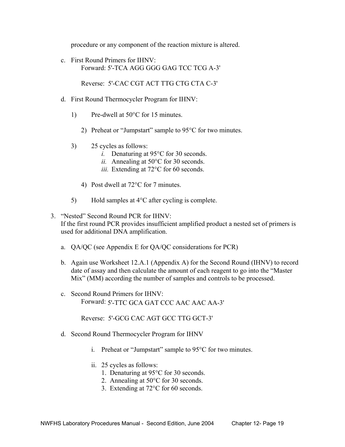procedure or any component of the reaction mixture is altered.

c. First Round Primers for IHNV: Forward: 5'-TCA AGG GGG GAG TCC TCG A-3'

Reverse: 5'-CAC CGT ACT TTG CTG CTA C-3'

- d. First Round Thermocycler Program for IHNV:
	- 1) Pre-dwell at 50°C for 15 minutes.
		- 2) Preheat or "Jumpstart" sample to 95°C for two minutes.
	- 3) 25 cycles as follows:
		- *i.* Denaturing at 95°C for 30 seconds.
		- *ii.* Annealing at 50°C for 30 seconds.
		- *iii.* Extending at 72<sup>o</sup>C for 60 seconds.
		- 4) Post dwell at 72°C for 7 minutes.
	- 5) Hold samples at 4°C after cycling is complete.

# 3. "Nested" Second Round PCR for IHNV: If the first round PCR provides insufficient amplified product a nested set of primers is used for additional DNA amplification.

- a. QA/QC (see Appendix E for QA/QC considerations for PCR)
- b. Again use Worksheet 12.A.1 (Appendix A) for the Second Round (IHNV) to record date of assay and then calculate the amount of each reagent to go into the "Master Mix" (MM) according the number of samples and controls to be processed.
- c. Second Round Primers for IHNV: Forward: 5'-TTC GCA GAT CCC AAC AAC AA-3'

Reverse: 5'-GCG CAC AGT GCC TTG GCT-3'

- d. Second Round Thermocycler Program for IHNV
	- i. Preheat or "Jumpstart" sample to 95°C for two minutes.
	- ii. 25 cycles as follows:
		- 1. Denaturing at 95°C for 30 seconds.
		- 2. Annealing at 50°C for 30 seconds.
		- 3. Extending at 72°C for 60 seconds.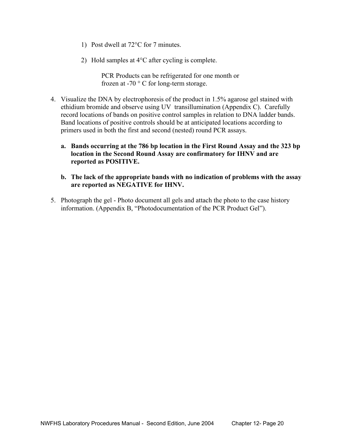- 1) Post dwell at 72°C for 7 minutes.
- 2) Hold samples at 4°C after cycling is complete.

PCR Products can be refrigerated for one month or frozen at -70 ° C for long-term storage.

- 4. Visualize the DNA by electrophoresis of the product in 1.5% agarose gel stained with ethidium bromide and observe using UV transillumination (Appendix C). Carefully record locations of bands on positive control samples in relation to DNA ladder bands. Band locations of positive controls should be at anticipated locations according to primers used in both the first and second (nested) round PCR assays.
	- **a. Bands occurring at the 786 bp location in the First Round Assay and the 323 bp location in the Second Round Assay are confirmatory for IHNV and are reported as POSITIVE.**
	- **b. The lack of the appropriate bands with no indication of problems with the assay are reported as NEGATIVE for IHNV.**
- 5. Photograph the gel Photo document all gels and attach the photo to the case history information. (Appendix B, "Photodocumentation of the PCR Product Gel").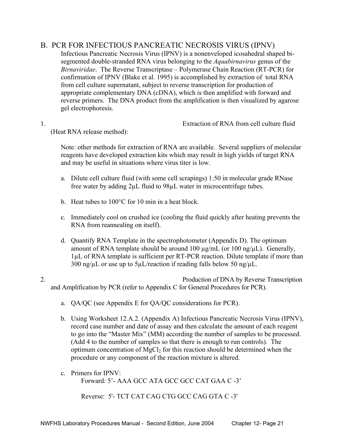# B. PCR FOR INFECTIOUS PANCREATIC NECROSIS VIRUS (IPNV)

Infectious Pancreatic Necrosis Virus (IPNV) is a nonenveloped icosahedral shaped bisegmented double-stranded RNA virus belonging to the *Aquabirnavirus* genus of the *Birnaviridae*.The Reverse Transcriptase – Polymerase Chain Reaction (RT-PCR) for confirmation of IPNV (Blake et al. 1995) is accomplished by extraction of total RNA from cell culture supernatant, subject to reverse transcription for production of appropriate complementary DNA (cDNA), which is then amplified with forward and reverse primers. The DNA product from the amplification is then visualized by agarose gel electrophoresis.

1. Extraction of RNA from cell culture fluid

(Heat RNA release method):

 Note: other methods for extraction of RNA are available. Several suppliers of molecular reagents have developed extraction kits which may result in high yields of target RNA and may be useful in situations where virus titer is low.

- a. Dilute cell culture fluid (with some cell scrapings) 1:50 in molecular grade RNase free water by adding 2µL fluid to 98µL water in microcentrifuge tubes.
- b. Heat tubes to 100°C for 10 min in a heat block.
- c. Immediately cool on crushed ice (cooling the fluid quickly after heating prevents the RNA from reannealing on itself).
- d. Quantify RNA Template in the spectrophotometer (Appendix D). The optimum amount of RNA template should be around 100  $\mu$ g/mL (or 100 ng/ $\mu$ L). Generally, 1µL of RNA template is sufficient per RT-PCR reaction. Dilute template if more than  $300$  ng/ $\mu$ L or use up to  $5\mu$ L/reaction if reading falls below 50 ng/ $\mu$ L.
- 2. Production of DNA by Reverse Transcription and Amplification by PCR (refer to Appendix C for General Procedures for PCR).
	- a. QA/QC (see Appendix E for QA/QC considerations for PCR).
	- b. Using Worksheet 12.A.2. (Appendix A) Infectious Pancreatic Necrosis Virus (IPNV), record case number and date of assay and then calculate the amount of each reagent to go into the "Master Mix" (MM) according the number of samples to be processed. (Add 4 to the number of samples so that there is enough to run controls). The optimum concentration of  $MgCl<sub>2</sub>$  for this reaction should be determined when the procedure or any component of the reaction mixture is altered.
	- c. Primers for IPNV: Forward: 5'- AAA GCC ATA GCC GCC CAT GAA C -3'

Reverse: 5'- TCT CAT CAG CTG GCC CAG GTA C -3'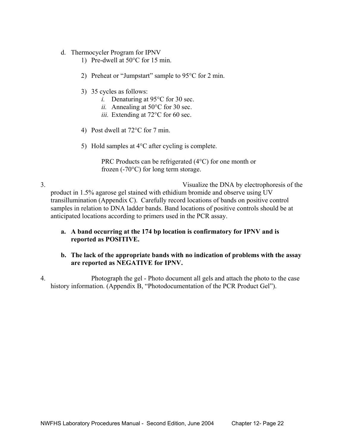- d. Thermocycler Program for IPNV
	- 1) Pre-dwell at 50°C for 15 min.
	- 2) Preheat or "Jumpstart" sample to 95°C for 2 min.
	- 3) 35 cycles as follows:
		- *i.* Denaturing at 95<sup>o</sup>C for 30 sec.
		- *ii.* Annealing at 50°C for 30 sec.
		- *iii.* Extending at 72°C for 60 sec.
	- 4) Post dwell at 72°C for 7 min.
	- 5) Hold samples at 4°C after cycling is complete.

```
PRC Products can be refrigerated (4°C) for one month or 
frozen (-70°C) for long term storage.
```
- 3. Visualize the DNA by electrophoresis of the product in 1.5% agarose gel stained with ethidium bromide and observe using UV transillumination (Appendix C). Carefully record locations of bands on positive control samples in relation to DNA ladder bands. Band locations of positive controls should be at anticipated locations according to primers used in the PCR assay.
	- **a. A band occurring at the 174 bp location is confirmatory for IPNV and is reported as POSITIVE.**

## **b. The lack of the appropriate bands with no indication of problems with the assay are reported as NEGATIVE for IPNV.**

4. Photograph the gel - Photo document all gels and attach the photo to the case history information. (Appendix B, "Photodocumentation of the PCR Product Gel").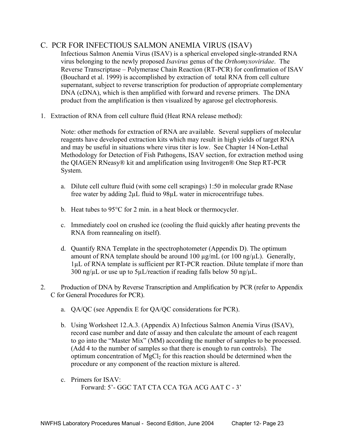# C. PCR FOR INFECTIOUS SALMON ANEMIA VIRUS (ISAV)

Infectious Salmon Anemia Virus (ISAV) is a spherical enveloped single-stranded RNA virus belonging to the newly proposed *Isavirus* genus of the *Orthomyxoviridae*. The Reverse Transcriptase – Polymerase Chain Reaction (RT-PCR) for confirmation of ISAV (Bouchard et al. 1999) is accomplished by extraction of total RNA from cell culture supernatant, subject to reverse transcription for production of appropriate complementary DNA (cDNA), which is then amplified with forward and reverse primers. The DNA product from the amplification is then visualized by agarose gel electrophoresis.

1. Extraction of RNA from cell culture fluid (Heat RNA release method):

 Note: other methods for extraction of RNA are available. Several suppliers of molecular reagents have developed extraction kits which may result in high yields of target RNA and may be useful in situations where virus titer is low. See Chapter 14 Non-Lethal Methodology for Detection of Fish Pathogens, ISAV section, for extraction method using the QIAGEN RNeasy® kit and amplification using Invitrogen® One Step RT-PCR System.

- a. Dilute cell culture fluid (with some cell scrapings) 1:50 in molecular grade RNase free water by adding 2µL fluid to 98µL water in microcentrifuge tubes.
- b. Heat tubes to 95°C for 2 min. in a heat block or thermocycler.
- c. Immediately cool on crushed ice (cooling the fluid quickly after heating prevents the RNA from reannealing on itself).
- d. Quantify RNA Template in the spectrophotometer (Appendix D). The optimum amount of RNA template should be around 100  $\mu$ g/mL (or 100 ng/ $\mu$ L). Generally, 1µL of RNA template is sufficient per RT-PCR reaction. Dilute template if more than 300 ng/ $\mu$ L or use up to 5 $\mu$ L/reaction if reading falls below 50 ng/ $\mu$ L.
- 2. Production of DNA by Reverse Transcription and Amplification by PCR (refer to Appendix C for General Procedures for PCR).
	- a. QA/QC (see Appendix E for QA/QC considerations for PCR).
	- b. Using Worksheet 12.A.3. (Appendix A) Infectious Salmon Anemia Virus (ISAV), record case number and date of assay and then calculate the amount of each reagent to go into the "Master Mix" (MM) according the number of samples to be processed. (Add 4 to the number of samples so that there is enough to run controls). The optimum concentration of  $MgCl<sub>2</sub>$  for this reaction should be determined when the procedure or any component of the reaction mixture is altered.
	- c. Primers for ISAV: Forward: 5'- GGC TAT CTA CCA TGA ACG AAT C - 3'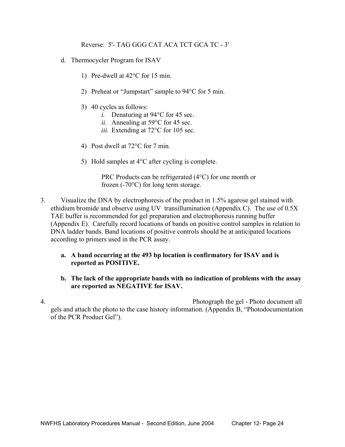Reverse: 5'- TAG GGG CAT ACA TCT GCA TC - 3'

- d. Thermocycler Program for ISAV
	- 1) Pre-dwell at 42°C for 15 min.
	- 2) Preheat or "Jumpstart" sample to 94°C for 5 min.
	- 3) 40 cycles as follows:
		- *i.* Denaturing at 94°C for 45 sec.
		- *ii.* Annealing at 59°C for 45 sec.
		- *iii.* Extending at 72°C for 105 sec.
	- 4) Post dwell at 72°C for 7 min.
	- 5) Hold samples at 4°C after cycling is complete.

PRC Products can be refrigerated (4°C) for one month or frozen (-70°C) for long term storage.

- 3. Visualize the DNA by electrophoresis of the product in 1.5% agarose gel stained with ethidium bromide and observe using UV transillumination (Appendix C). The use of 0.5X TAE buffer is recommended for gel preparation and electrophoresis running buffer (Appendix E). Carefully record locations of bands on positive control samples in relation to DNA ladder bands. Band locations of positive controls should be at anticipated locations according to primers used in the PCR assay.
	- **a. A band occurring at the 493 bp location is confirmatory for ISAV and is reported as POSITIVE.**
	- **b. The lack of the appropriate bands with no indication of problems with the assay are reported as NEGATIVE for ISAV.**

4. Photograph the gel - Photo document all gels and attach the photo to the case history information. (Appendix B, "Photodocumentation of the PCR Product Gel").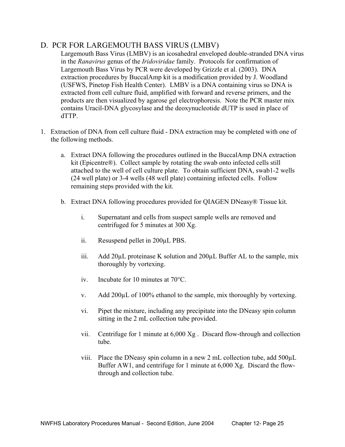# D. PCR FOR LARGEMOUTH BASS VIRUS (LMBV)

Largemouth Bass Virus (LMBV) is an icosahedral enveloped double-stranded DNA virus in the *Ranavirus* genus of the *Iridoviridae* family. Protocols for confirmation of Largemouth Bass Virus by PCR were developed by Grizzle et al. (2003). DNA extraction procedures by BuccalAmp kit is a modification provided by J. Woodland (USFWS, Pinetop Fish Health Center). LMBV is a DNA containing virus so DNA is extracted from cell culture fluid, amplified with forward and reverse primers, and the products are then visualized by agarose gel electrophoresis. Note the PCR master mix contains Uracil-DNA glycosylase and the deoxynucleotide dUTP is used in place of dTTP.

- 1. Extraction of DNA from cell culture fluid DNA extraction may be completed with one of the following methods.
	- a. Extract DNA following the procedures outlined in the BuccalAmp DNA extraction kit (Epicentre®). Collect sample by rotating the swab onto infected cells still attached to the well of cell culture plate. To obtain sufficient DNA, swab1-2 wells (24 well plate) or 3-4 wells (48 well plate) containing infected cells. Follow remaining steps provided with the kit.
	- b. Extract DNA following procedures provided for QIAGEN DNeasy® Tissue kit.
		- i. Supernatant and cells from suspect sample wells are removed and centrifuged for 5 minutes at 300 Xg.
		- ii. Resuspend pellet in 200µL PBS.
		- iii. Add 20µL proteinase K solution and 200µL Buffer AL to the sample, mix thoroughly by vortexing.
		- iv. Incubate for 10 minutes at 70°C.
		- v. Add 200µL of 100% ethanol to the sample, mix thoroughly by vortexing.
		- vi. Pipet the mixture, including any precipitate into the DNeasy spin column sitting in the 2 mL collection tube provided.
		- vii. Centrifuge for 1 minute at 6,000 Xg . Discard flow-through and collection tube.
		- viii. Place the DNeasy spin column in a new 2 mL collection tube, add 500µL Buffer AW1, and centrifuge for 1 minute at 6,000 Xg. Discard the flowthrough and collection tube.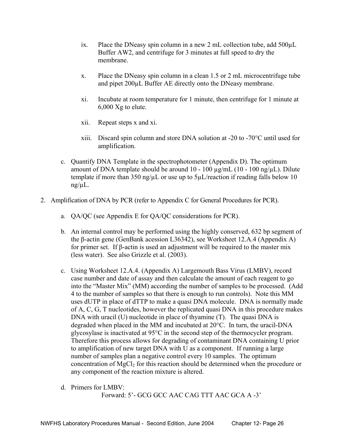- ix. Place the DNeasy spin column in a new 2 mL collection tube, add  $500\mu L$ Buffer AW2, and centrifuge for 3 minutes at full speed to dry the membrane.
- x. Place the DNeasy spin column in a clean 1.5 or 2 mL microcentrifuge tube and pipet 200µL Buffer AE directly onto the DNeasy membrane.
- xi. Incubate at room temperature for 1 minute, then centrifuge for 1 minute at 6,000 Xg to elute.
- xii. Repeat steps x and xi.
- xiii. Discard spin column and store DNA solution at -20 to -70°C until used for amplification.
- c. Quantify DNA Template in the spectrophotometer (Appendix D). The optimum amount of DNA template should be around 10 - 100 µg/mL (10 - 100 ng/µL). Dilute template if more than 350 ng/ $\mu$ L or use up to 5 $\mu$ L/reaction if reading falls below 10  $ng/µL$ .
- 2. Amplification of DNA by PCR (refer to Appendix C for General Procedures for PCR).
	- a. QA/QC (see Appendix E for QA/QC considerations for PCR).
	- b. An internal control may be performed using the highly conserved, 632 bp segment of the β-actin gene (GenBank acession L36342), see Worksheet 12.A.4 (Appendix A) for primer set. If β-actin is used an adjustment will be required to the master mix (less water). See also Grizzle et al. (2003).
	- c. Using Worksheet 12.A.4. (Appendix A) Largemouth Bass Virus (LMBV), record case number and date of assay and then calculate the amount of each reagent to go into the "Master Mix" (MM) according the number of samples to be processed. (Add 4 to the number of samples so that there is enough to run controls). Note this MM uses dUTP in place of dTTP to make a quasi DNA molecule. DNA is normally made of A, C, G, T nucleotides, however the replicated quasi DNA in this procedure makes DNA with uracil (U) nucleotide in place of thyamine (T). The quasi DNA is degraded when placed in the MM and incubated at 20°C. In turn, the uracil-DNA glycosylase is inactivated at 95°C in the second step of the thermocycler program. Therefore this process allows for degrading of contaminant DNA containing U prior to amplification of new target DNA with U as a component. If running a large number of samples plan a negative control every 10 samples. The optimum concentration of  $MgCl<sub>2</sub>$  for this reaction should be determined when the procedure or any component of the reaction mixture is altered.
	- d. Primers for LMBV:

Forward: 5'- GCG GCC AAC CAG TTT AAC GCA A -3'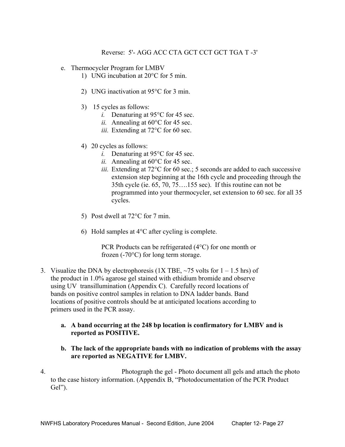- e. Thermocycler Program for LMBV
	- 1) UNG incubation at 20°C for 5 min.
	- 2) UNG inactivation at 95°C for 3 min.
	- 3) 15 cycles as follows:
		- *i.* Denaturing at 95°C for 45 sec.
		- *ii.* Annealing at 60°C for 45 sec.
		- *iii.* Extending at 72°C for 60 sec.
	- 4) 20 cycles as follows:
		- *i.* Denaturing at 95°C for 45 sec.
		- *ii.* Annealing at 60°C for 45 sec.
		- *iii.* Extending at 72°C for 60 sec.; 5 seconds are added to each successive extension step beginning at the 16th cycle and proceeding through the 35th cycle (ie. 65, 70, 75….155 sec). If this routine can not be programmed into your thermocycler, set extension to 60 sec. for all 35 cycles.
	- 5) Post dwell at 72<sup>o</sup>C for 7 min.
	- 6) Hold samples at 4°C after cycling is complete.

PCR Products can be refrigerated (4°C) for one month or frozen (-70°C) for long term storage.

- 3. Visualize the DNA by electrophoresis (1X TBE,  $\sim$  75 volts for 1 1.5 hrs) of the product in 1.0% agarose gel stained with ethidium bromide and observe using UV transillumination (Appendix C). Carefully record locations of bands on positive control samples in relation to DNA ladder bands. Band locations of positive controls should be at anticipated locations according to primers used in the PCR assay.
	- **a. A band occurring at the 248 bp location is confirmatory for LMBV and is reported as POSITIVE.**
	- **b. The lack of the appropriate bands with no indication of problems with the assay are reported as NEGATIVE for LMBV.**
- 4. Photograph the gel Photo document all gels and attach the photo to the case history information. (Appendix B, "Photodocumentation of the PCR Product Gel").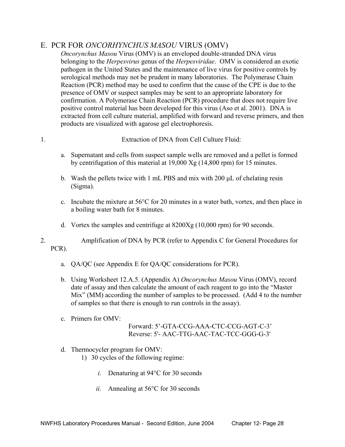# E. PCR FOR *ONCORHYNCHUS MASOU* VIRUS (OMV)

*Oncorynchus Masou* Virus (OMV) is an enveloped double-stranded DNA virus belonging to the *Herpesvirus* genus of the *Herpesviridae*. OMV is considered an exotic pathogen in the United States and the maintenance of live virus for positive controls by serological methods may not be prudent in many laboratories. The Polymerase Chain Reaction (PCR) method may be used to confirm that the cause of the CPE is due to the presence of OMV or suspect samples may be sent to an appropriate laboratory for confirmation. A Polymerase Chain Reaction (PCR) procedure that does not require live positive control material has been developed for this virus (Aso et al. 2001). DNA is extracted from cell culture material, amplified with forward and reverse primers, and then products are visualized with agarose gel electrophoresis.

1. Extraction of DNA from Cell Culture Fluid:

- a. Supernatant and cells from suspect sample wells are removed and a pellet is formed by centrifugation of this material at 19,000 Xg (14,800 rpm) for 15 minutes.
- b. Wash the pellets twice with 1 mL PBS and mix with 200  $\mu$ L of chelating resin (Sigma).
- c. Incubate the mixture at 56°C for 20 minutes in a water bath, vortex, and then place in a boiling water bath for 8 minutes.
- d. Vortex the samples and centrifuge at 8200Xg (10,000 rpm) for 90 seconds.
- 2. Amplification of DNA by PCR (refer to Appendix C for General Procedures for PCR).
	- a. QA/QC (see Appendix E for QA/QC considerations for PCR).
	- b. Using Worksheet 12.A.5. (Appendix A) *Oncorynchus Masou* Virus (OMV), record date of assay and then calculate the amount of each reagent to go into the "Master Mix" (MM) according the number of samples to be processed. (Add 4 to the number of samples so that there is enough to run controls in the assay).
	- c. Primers for OMV:

 Forward: 5'-GTA-CCG-AAA-CTC-CCG-AGT-C-3' Reverse: 5'- AAC-TTG-AAC-TAC-TCC-GGG-G-3'

- d. Thermocycler program for OMV:
	- 1) 30 cycles of the following regime:
		- *i.* Denaturing at 94°C for 30 seconds
		- *ii.* Annealing at 56°C for 30 seconds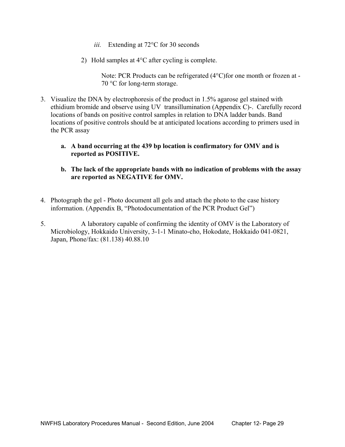- *iii.* Extending at 72<sup>o</sup>C for 30 seconds
- 2) Hold samples at 4°C after cycling is complete.

Note: PCR Products can be refrigerated (4°C)for one month or frozen at - 70 °C for long-term storage.

- 3. Visualize the DNA by electrophoresis of the product in 1.5% agarose gel stained with ethidium bromide and observe using UV transillumination (Appendix C)-. Carefully record locations of bands on positive control samples in relation to DNA ladder bands. Band locations of positive controls should be at anticipated locations according to primers used in the PCR assay
	- **a. A band occurring at the 439 bp location is confirmatory for OMV and is reported as POSITIVE.**
	- **b. The lack of the appropriate bands with no indication of problems with the assay are reported as NEGATIVE for OMV.**
- 4. Photograph the gel Photo document all gels and attach the photo to the case history information. (Appendix B, "Photodocumentation of the PCR Product Gel")
- 5. A laboratory capable of confirming the identity of OMV is the Laboratory of Microbiology, Hokkaido University, 3-1-1 Minato-cho, Hokodate, Hokkaido 041-0821, Japan, Phone/fax: (81.138) 40.88.10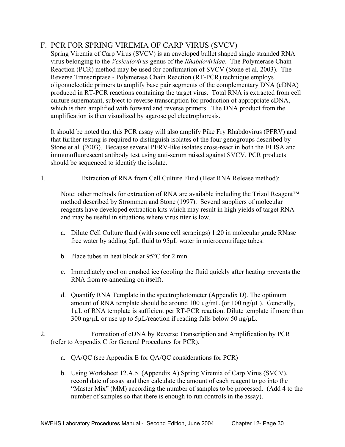# F. PCR FOR SPRING VIREMIA OF CARP VIRUS (SVCV)

Spring Viremia of Carp Virus (SVCV) is an enveloped bullet shaped single stranded RNA virus belonging to the *Vesiculovirus* genus of the *Rhabdoviridae*. The Polymerase Chain Reaction (PCR) method may be used for confirmation of SVCV (Stone et al. 2003). The Reverse Transcriptase - Polymerase Chain Reaction (RT-PCR) technique employs oligonucleotide primers to amplify base pair segments of the complementary DNA (cDNA) produced in RT-PCR reactions containing the target virus. Total RNA is extracted from cell culture supernatant, subject to reverse transcription for production of appropriate cDNA, which is then amplified with forward and reverse primers. The DNA product from the amplification is then visualized by agarose gel electrophoresis.

It should be noted that this PCR assay will also amplify Pike Fry Rhabdovirus (PFRV) and that further testing is required to distinguish isolates of the four genogroups described by Stone et al. (2003). Because several PFRV-like isolates cross-react in both the ELISA and immunofluorescent antibody test using anti-serum raised against SVCV, PCR products should be sequenced to identify the isolate.

1. Extraction of RNA from Cell Culture Fluid (Heat RNA Release method):

Note: other methods for extraction of RNA are available including the Trizol Reagent<sup>™</sup> method described by Strømmen and Stone (1997). Several suppliers of molecular reagents have developed extraction kits which may result in high yields of target RNA and may be useful in situations where virus titer is low.

- a. Dilute Cell Culture fluid (with some cell scrapings) 1:20 in molecular grade RNase free water by adding 5µL fluid to 95µL water in microcentrifuge tubes.
- b. Place tubes in heat block at 95°C for 2 min.
- c. Immediately cool on crushed ice (cooling the fluid quickly after heating prevents the RNA from re-annealing on itself).
- d. Quantify RNA Template in the spectrophotometer (Appendix D). The optimum amount of RNA template should be around 100  $\mu$ g/mL (or 100 ng/ $\mu$ L). Generally, 1µL of RNA template is sufficient per RT-PCR reaction. Dilute template if more than  $300$  ng/ $\mu$ L or use up to  $5\mu$ L/reaction if reading falls below 50 ng/ $\mu$ L.
- 2. Formation of cDNA by Reverse Transcription and Amplification by PCR (refer to Appendix C for General Procedures for PCR).
	- a. QA/QC (see Appendix E for QA/QC considerations for PCR)
	- b. Using Worksheet 12.A.5. (Appendix A) Spring Viremia of Carp Virus (SVCV), record date of assay and then calculate the amount of each reagent to go into the "Master Mix" (MM) according the number of samples to be processed. (Add 4 to the number of samples so that there is enough to run controls in the assay).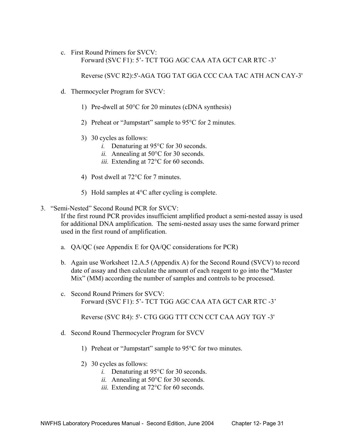c. First Round Primers for SVCV: Forward (SVC F1): 5'- TCT TGG AGC CAA ATA GCT CAR RTC -3'

Reverse (SVC R2):5'-AGA TGG TAT GGA CCC CAA TAC ATH ACN CAY-3'

- d. Thermocycler Program for SVCV:
	- 1) Pre-dwell at 50°C for 20 minutes (cDNA synthesis)
	- 2) Preheat or "Jumpstart" sample to 95°C for 2 minutes.
	- 3) 30 cycles as follows:
		- *i.* Denaturing at 95°C for 30 seconds.
		- *ii.* Annealing at 50°C for 30 seconds.
		- *iii.* Extending at 72<sup>o</sup>C for 60 seconds.
	- 4) Post dwell at 72°C for 7 minutes.
	- 5) Hold samples at 4°C after cycling is complete.
- 3. "Semi-Nested" Second Round PCR for SVCV:

If the first round PCR provides insufficient amplified product a semi-nested assay is used for additional DNA amplification. The semi-nested assay uses the same forward primer used in the first round of amplification.

- a. QA/QC (see Appendix E for QA/QC considerations for PCR)
- b. Again use Worksheet 12.A.5 (Appendix A) for the Second Round (SVCV) to record date of assay and then calculate the amount of each reagent to go into the "Master Mix" (MM) according the number of samples and controls to be processed.
- c. Second Round Primers for SVCV: Forward (SVC F1): 5'- TCT TGG AGC CAA ATA GCT CAR RTC -3'

Reverse (SVC R4): 5'- CTG GGG TTT CCN CCT CAA AGY TGY -3'

- d. Second Round Thermocycler Program for SVCV
	- 1) Preheat or "Jumpstart" sample to 95°C for two minutes.
	- 2) 30 cycles as follows:
		- *i.* Denaturing at 95°C for 30 seconds.
		- *ii.* Annealing at 50°C for 30 seconds.
		- *iii.* Extending at 72°C for 60 seconds.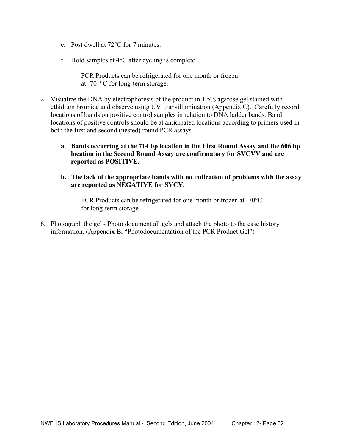- e. Post dwell at 72°C for 7 minutes.
- f. Hold samples at 4°C after cycling is complete.

PCR Products can be refrigerated for one month or frozen at -70 ° C for long-term storage.

- 2. Visualize the DNA by electrophoresis of the product in 1.5% agarose gel stained with ethidium bromide and observe using UV transillumination (Appendix C). Carefully record locations of bands on positive control samples in relation to DNA ladder bands. Band locations of positive controls should be at anticipated locations according to primers used in both the first and second (nested) round PCR assays.
	- **a. Bands occurring at the 714 bp location in the First Round Assay and the 606 bp location in the Second Round Assay are confirmatory for SVCVV and are reported as POSITIVE.**
	- **b. The lack of the appropriate bands with no indication of problems with the assay are reported as NEGATIVE for SVCV.**

PCR Products can be refrigerated for one month or frozen at -70°C for long-term storage.

6. Photograph the gel - Photo document all gels and attach the photo to the case history information. (Appendix B, "Photodocumentation of the PCR Product Gel")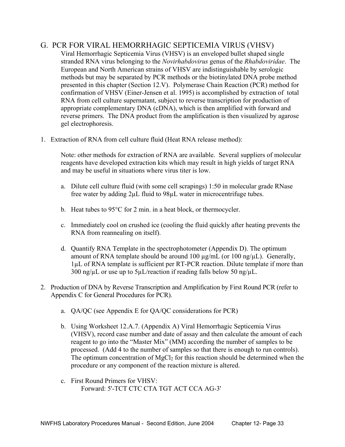# G. PCR FOR VIRAL HEMORRHAGIC SEPTICEMIA VIRUS (VHSV)

- Viral Hemorrhagic Septicemia Virus (VHSV) is an enveloped bullet shaped single stranded RNA virus belonging to the *Novirhabdovirus* genus of the *Rhabdoviridae*. The European and North American strains of VHSV are indistinguishable by serologic methods but may be separated by PCR methods or the biotinylated DNA probe method presented in this chapter (Section 12.V). Polymerase Chain Reaction (PCR) method for confirmation of VHSV (Einer-Jensen et al. 1995) is accomplished by extraction of total RNA from cell culture supernatant, subject to reverse transcription for production of appropriate complementary DNA (cDNA), which is then amplified with forward and reverse primers. The DNA product from the amplification is then visualized by agarose gel electrophoresis.
- 1. Extraction of RNA from cell culture fluid (Heat RNA release method):

 Note: other methods for extraction of RNA are available. Several suppliers of molecular reagents have developed extraction kits which may result in high yields of target RNA and may be useful in situations where virus titer is low.

- a. Dilute cell culture fluid (with some cell scrapings) 1:50 in molecular grade RNase free water by adding 2µL fluid to 98µL water in microcentrifuge tubes.
- b. Heat tubes to 95°C for 2 min. in a heat block, or thermocycler.
- c. Immediately cool on crushed ice (cooling the fluid quickly after heating prevents the RNA from reannealing on itself).
- d. Quantify RNA Template in the spectrophotometer (Appendix D). The optimum amount of RNA template should be around 100  $\mu$ g/mL (or 100 ng/ $\mu$ L). Generally, 1µL of RNA template is sufficient per RT-PCR reaction. Dilute template if more than 300 ng/ $\mu$ L or use up to 5 $\mu$ L/reaction if reading falls below 50 ng/ $\mu$ L.
- 2. Production of DNA by Reverse Transcription and Amplification by First Round PCR (refer to Appendix C for General Procedures for PCR).
	- a. QA/QC (see Appendix E for QA/QC considerations for PCR)
	- b. Using Worksheet 12.A.7. (Appendix A) Viral Hemorrhagic Septicemia Virus (VHSV), record case number and date of assay and then calculate the amount of each reagent to go into the "Master Mix" (MM) according the number of samples to be processed. (Add 4 to the number of samples so that there is enough to run controls). The optimum concentration of MgCl<sub>2</sub> for this reaction should be determined when the procedure or any component of the reaction mixture is altered.
	- c. First Round Primers for VHSV: Forward: 5'-TCT CTC CTA TGT ACT CCA AG-3'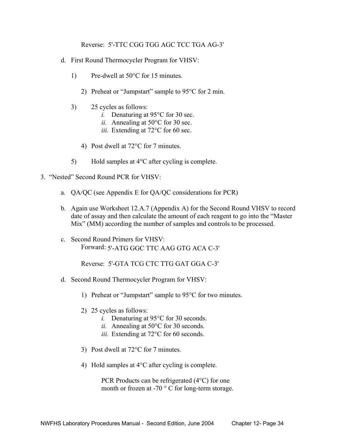Reverse: 5'-TTC CGG TGG AGC TCC TGA AG-3'

- d. First Round Thermocycler Program for VHSV:
	- 1) Pre-dwell at 50°C for 15 minutes.
		- 2) Preheat or "Jumpstart" sample to 95°C for 2 min.
	- 3) 25 cycles as follows:
		- *i.* Denaturing at 95<sup>o</sup>C for 30 sec.
		- *ii.* Annealing at 50°C for 30 sec.
		- *iii.* Extending at 72°C for 60 sec.
		- 4) Post dwell at 72°C for 7 minutes.
	- 5) Hold samples at 4°C after cycling is complete.
- 3. "Nested" Second Round PCR for VHSV:
	- a. QA/QC (see Appendix E for QA/QC considerations for PCR)
	- b. Again use Worksheet 12.A.7 (Appendix A) for the Second Round VHSV to record date of assay and then calculate the amount of each reagent to go into the "Master Mix" (MM) according the number of samples and controls to be processed.
	- c. Second Round Primers for VHSV: Forward: 5'-ATG GGC TTC AAG GTG ACA C-3'

Reverse: 5'-GTA TCG CTC TTG GAT GGA C-3'

- d. Second Round Thermocycler Program for VHSV:
	- 1) Preheat or "Jumpstart" sample to 95°C for two minutes.
	- 2) 25 cycles as follows:
		- *i.* Denaturing at 95°C for 30 seconds.
		- *ii.* Annealing at 50°C for 30 seconds.
		- *iii.* Extending at 72<sup>o</sup>C for 60 seconds.
	- 3) Post dwell at 72°C for 7 minutes.
	- 4) Hold samples at 4°C after cycling is complete.

PCR Products can be refrigerated (4°C) for one month or frozen at -70 ° C for long-term storage.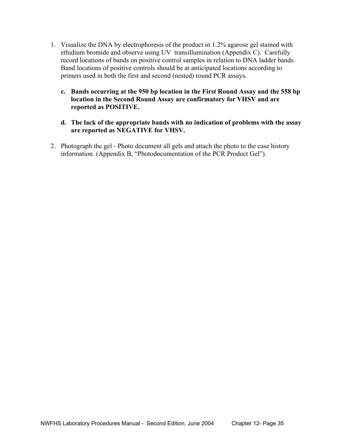- 1. Visualize the DNA by electrophoresis of the product in 1.2% agarose gel stained with ethidium bromide and observe using UV transillumination (Appendix C). Carefully record locations of bands on positive control samples in relation to DNA ladder bands. Band locations of positive controls should be at anticipated locations according to primers used in both the first and second (nested) round PCR assays.
	- **c. Bands occurring at the 950 bp location in the First Round Assay and the 558 bp location in the Second Round Assay are confirmatory for VHSV and are reported as POSITIVE.**
	- **d. The lack of the appropriate bands with no indication of problems with the assay are reported as NEGATIVE for VHSV.**
- 2. Photograph the gel Photo document all gels and attach the photo to the case history information. (Appendix B, "Photodocumentation of the PCR Product Gel").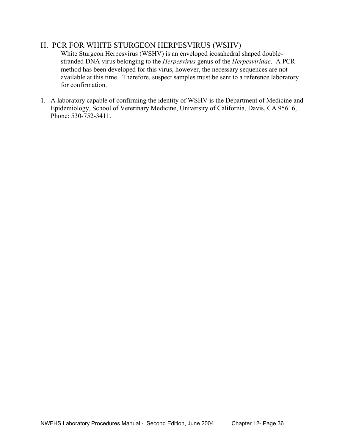# H. PCR FOR WHITE STURGEON HERPESVIRUS (WSHV)

 White Sturgeon Herpesvirus (WSHV) is an enveloped icosahedral shaped doublestranded DNA virus belonging to the *Herpesvirus* genus of the *Herpesviridae*. A PCR method has been developed for this virus, however, the necessary sequences are not available at this time. Therefore, suspect samples must be sent to a reference laboratory for confirmation.

1. A laboratory capable of confirming the identity of WSHV is the Department of Medicine and Epidemiology, School of Veterinary Medicine, University of California, Davis, CA 95616, Phone: 530-752-3411.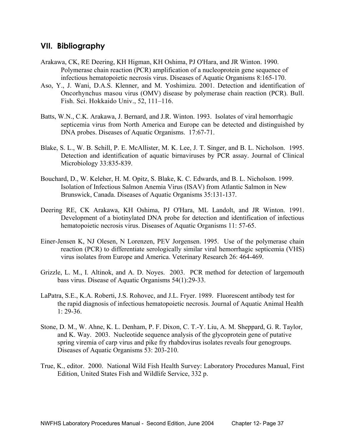# **VII. Bibliography**

- Arakawa, CK, RE Deering, KH Higman, KH Oshima, PJ O'Hara, and JR Winton. 1990. Polymerase chain reaction (PCR) amplification of a nucleoprotein gene sequence of infectious hematopoietic necrosis virus. Diseases of Aquatic Organisms 8:165-170.
- Aso, Y., J. Wani, D.A.S. Klenner, and M. Yoshimizu. 2001. Detection and identification of Oncorhynchus masou virus (OMV) disease by polymerase chain reaction (PCR). Bull. Fish. Sci. Hokkaido Univ., 52, 111–116.
- Batts, W.N., C.K. Arakawa, J. Bernard, and J.R. Winton. 1993. Isolates of viral hemorrhagic septicemia virus from North America and Europe can be detected and distinguished by DNA probes. Diseases of Aquatic Organisms. 17:67-71.
- Blake, S. L., W. B. Schill, P. E. McAllister, M. K. Lee, J. T. Singer, and B. L. Nicholson. 1995. Detection and identification of aquatic birnaviruses by PCR assay. Journal of Clinical Microbiology 33:835-839.
- Bouchard, D., W. Keleher, H. M. Opitz, S. Blake, K. C. Edwards, and B. L. Nicholson. 1999. Isolation of Infectious Salmon Anemia Virus (ISAV) from Atlantic Salmon in New Brunswick, Canada. Diseases of Aquatic Organisms 35:131-137.
- Deering RE, CK Arakawa, KH Oshima, PJ O'Hara, ML Landolt, and JR Winton. 1991. Development of a biotinylated DNA probe for detection and identification of infectious hematopoietic necrosis virus. Diseases of Aquatic Organisms 11: 57-65.
- Einer-Jensen K, NJ Olesen, N Lorenzen, PEV Jorgensen. 1995. Use of the polymerase chain reaction (PCR) to differentiate serologically similar viral hemorrhagic septicemia (VHS) virus isolates from Europe and America. Veterinary Research 26: 464-469.
- Grizzle, L. M., I. Altinok, and A. D. Noyes. 2003. PCR method for detection of largemouth bass virus. Disease of Aquatic Organisms 54(1):29-33.
- LaPatra, S.E., K.A. Roberti, J.S. Rohovec, and J.L. Fryer. 1989. Fluorescent antibody test for the rapid diagnosis of infectious hematopoietic necrosis. Journal of Aquatic Animal Health 1: 29-36.
- Stone, D. M., W. Ahne, K. L. Denham, P. F. Dixon, C. T.-Y. Liu, A. M. Sheppard, G. R. Taylor, and K. Way. 2003. Nucleotide sequence analysis of the glycoprotein gene of putative spring viremia of carp virus and pike fry rhabdovirus isolates reveals four genogroups. Diseases of Aquatic Organisms 53: 203-210.
- True, K., editor. 2000. National Wild Fish Health Survey: Laboratory Procedures Manual, First Edition, United States Fish and Wildlife Service, 332 p.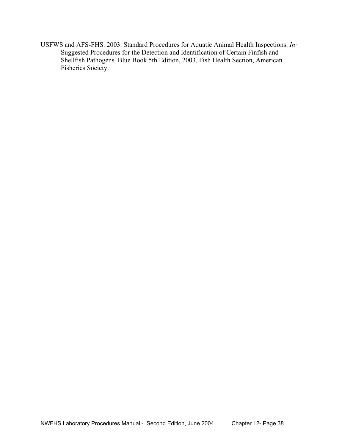USFWS and AFS-FHS. 2003. Standard Procedures for Aquatic Animal Health Inspections. *In:*  Suggested Procedures for the Detection and Identification of Certain Finfish and Shellfish Pathogens. Blue Book 5th Edition, 2003, Fish Health Section, American Fisheries Society.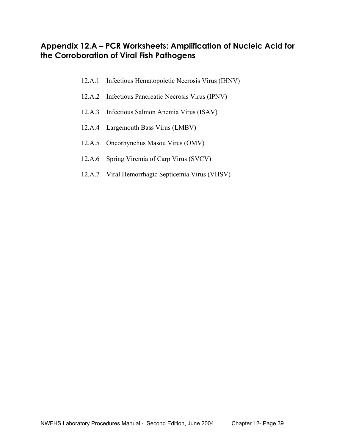# **Appendix 12.A – PCR Worksheets: Amplification of Nucleic Acid for the Corroboration of Viral Fish Pathogens**

- 12.A.1 Infectious Hematopoietic Necrosis Virus (IHNV)
- 12.A.2 Infectious Pancreatic Necrosis Virus (IPNV)
- 12.A.3 Infectious Salmon Anemia Virus (ISAV)
- 12.A.4 Largemouth Bass Virus (LMBV)
- 12.A.5 Oncorhynchus Masou Virus (OMV)
- 12.A.6 Spring Viremia of Carp Virus (SVCV)
- 12.A.7 Viral Hemorrhagic Septicemia Virus (VHSV)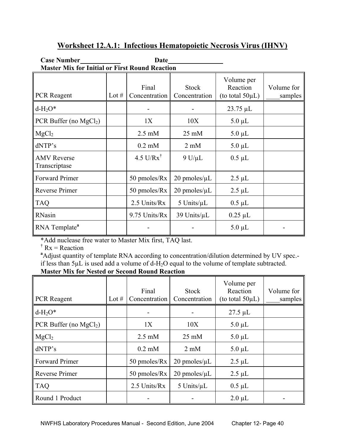| <b>Master Mix for Initial or First Round Reaction</b> |         |                        |                               |                                                 |                       |  |  |
|-------------------------------------------------------|---------|------------------------|-------------------------------|-------------------------------------------------|-----------------------|--|--|
| <b>PCR</b> Reagent                                    | Lot $#$ | Final<br>Concentration | <b>Stock</b><br>Concentration | Volume per<br>Reaction<br>(to total $50\mu L$ ) | Volume for<br>samples |  |  |
| $d-H2O*$                                              |         |                        |                               | $23.75 \mu L$                                   |                       |  |  |
| PCR Buffer (no $MgCl2$ )                              |         | 1X                     | 10X                           | $5.0 \mu L$                                     |                       |  |  |
| MgCl <sub>2</sub>                                     |         | $2.5 \text{ mM}$       | $25 \text{ mM}$               | $5.0 \mu L$                                     |                       |  |  |
| dNTP's                                                |         | $0.2 \text{ mM}$       | $2 \text{ mM}$                | $5.0 \mu L$                                     |                       |  |  |
| <b>AMV</b> Reverse<br>Transcriptase                   |         | 4.5 U/R $x^{\dagger}$  | $9 U/\mu L$                   | $0.5 \mu L$                                     |                       |  |  |
| <b>Forward Primer</b>                                 |         | 50 pmoles/Rx           | $20$ pmoles/ $\mu$ L          | $2.5 \mu L$                                     |                       |  |  |
| Reverse Primer                                        |         | 50 pmoles/Rx           | $20$ pmoles/ $\mu$ L          | $2.5 \mu L$                                     |                       |  |  |
| <b>TAQ</b>                                            |         | 2.5 Units/Rx           | 5 Units/ $\mu$ L              | $0.5 \mu L$                                     |                       |  |  |
| RNasin                                                |         | 9.75 Units/Rx          | 39 Units/µL                   | $0.25 \mu L$                                    |                       |  |  |
| RNA Template <sup>a</sup>                             |         |                        |                               | $5.0 \mu L$                                     |                       |  |  |

# **Worksheet 12.A.1: Infectious Hematopoietic Necrosis Virus (IHNV)**

Case Number<br>
<u>Date</u> Date

\*Add nuclease free water to Master Mix first, TAQ last.

 $\dagger$  Rx = Reaction

<sup>a</sup> Adjust quantity of template RNA according to concentration/dilution determined by UV spec.if less than  $5\mu$ L is used add a volume of d-H<sub>2</sub>O equal to the volume of template subtracted. **Master Mix for Nested or Second Round Reaction** 

| <b>PCR</b> Reagent       | Lot $#$ | Final<br>Concentration | <b>Stock</b><br>Concentration | Volume per<br>Reaction<br>(to total $50\mu L$ ) | Volume for<br>samples |
|--------------------------|---------|------------------------|-------------------------------|-------------------------------------------------|-----------------------|
| $d-H2O*$                 |         |                        |                               | $27.5 \mu L$                                    |                       |
| PCR Buffer (no $MgCl2$ ) |         | 1X                     | 10X                           | $5.0 \mu L$                                     |                       |
| MgCl <sub>2</sub>        |         | $2.5 \text{ mM}$       | $25 \text{ mM}$               | $5.0 \mu L$                                     |                       |
| dNTP's                   |         | $0.2$ mM               | $2 \text{ mM}$                | $5.0 \mu L$                                     |                       |
| <b>Forward Primer</b>    |         | 50 pmoles/Rx           | $20$ pmoles/ $\mu$ L          | $2.5 \mu L$                                     |                       |
| Reverse Primer           |         | $50$ pmoles/ $Rx$      | $20$ pmoles/ $\mu$ L          | $2.5 \mu L$                                     |                       |
| <b>TAQ</b>               |         | 2.5 Units/Rx           | 5 Units/ $\mu$ L              | $0.5 \mu L$                                     |                       |
| Round 1 Product          |         |                        |                               | $2.0 \mu L$                                     |                       |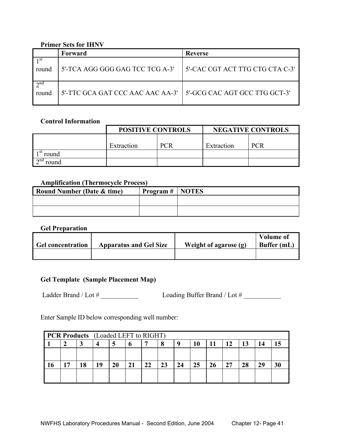## **Primer Sets for IHNV**

|                      | Forward                          | Reverse                         |
|----------------------|----------------------------------|---------------------------------|
| round                | 5'-TCA AGG GGG GAG TCC TCG A-3'  | 5'-CAC CGT ACT TTG CTG CTA C-3' |
| $\gamma$ nd<br>round | 5'-TTC GCA GAT CCC AAC AAC AA-3' | l 5'-GCG CAC AGT GCC TTG GCT-3' |

#### **Control Information**

|                       | <b>POSITIVE CONTROLS</b> |  | <b>NEGATIVE CONTROLS</b> |            |  |
|-----------------------|--------------------------|--|--------------------------|------------|--|
|                       | <b>PCR</b><br>Extraction |  | Extraction               | <b>PCR</b> |  |
| round                 |                          |  |                          |            |  |
| $\lambda$ nd<br>round |                          |  |                          |            |  |

#### **Amplification (Thermocycle Process)**

| <b>Round Number (Date &amp; time)</b> | $'$ Program $\#$   NOTES |  |
|---------------------------------------|--------------------------|--|
|                                       |                          |  |
|                                       |                          |  |

#### **Gel Preparation**

| <b>Gel concentration</b> | <b>Apparatus and Gel Size</b> | Weight of agarose (g) | <b>Volume of</b><br>Buffer (mL) |
|--------------------------|-------------------------------|-----------------------|---------------------------------|
|                          |                               |                       |                                 |

# **Gel Template (Sample Placement Map)**

Ladder Brand / Lot # \_\_\_\_\_\_\_\_\_\_\_ Loading Buffer Brand / Lot # \_\_\_\_\_\_\_\_\_\_\_

Enter Sample ID below corresponding well number:

| <b>PCR Products</b> (Loaded LEFT to RIGHT) |    |    |    |    |    |    |    |    |    |    |    |    |    |
|--------------------------------------------|----|----|----|----|----|----|----|----|----|----|----|----|----|
|                                            |    | 4  | Э  | o  |    | 8  | u  | 10 |    | 12 | 13 | 14 |    |
|                                            |    |    |    |    |    |    |    |    |    |    |    |    |    |
| . 7                                        | 18 | 19 | 20 | 21 | 22 | 23 | 24 | 25 | 26 | 27 | 28 | 29 | 30 |
|                                            |    |    |    |    |    |    |    |    |    |    |    |    |    |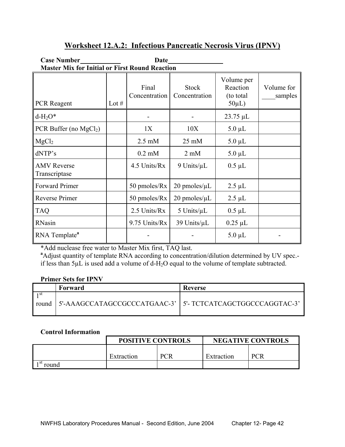# **Worksheet 12.A.2: Infectious Pancreatic Necrosis Virus (IPNV)**

| <b>Case Number</b>                                    |         | Date                   |                               |                                                    |                       |
|-------------------------------------------------------|---------|------------------------|-------------------------------|----------------------------------------------------|-----------------------|
| <b>Master Mix for Initial or First Round Reaction</b> |         |                        |                               |                                                    |                       |
| <b>PCR</b> Reagent                                    | Lot $#$ | Final<br>Concentration | <b>Stock</b><br>Concentration | Volume per<br>Reaction<br>(to total<br>$50\mu L$ ) | Volume for<br>samples |
| $d-H_2O^*$                                            |         |                        |                               | $23.75 \mu L$                                      |                       |
| PCR Buffer (no $MgCl2$ )                              |         | 1X                     | 10X                           | $5.0 \mu L$                                        |                       |
| MgCl <sub>2</sub>                                     |         | $2.5 \text{ mM}$       | $25 \text{ mM}$               | $5.0 \mu L$                                        |                       |
| dNTP's                                                |         | $0.2$ mM               | $2 \text{ mM}$                | $5.0 \mu L$                                        |                       |
| <b>AMV</b> Reverse<br>Transcriptase                   |         | 4.5 Units/Rx           | $9$ Units/ $\mu$ L            | $0.5 \mu L$                                        |                       |
| <b>Forward Primer</b>                                 |         | 50 pmoles/Rx           | $20$ pmoles/ $\mu$ L          | $2.5 \mu L$                                        |                       |
| Reverse Primer                                        |         | 50 pmoles/Rx           | $20$ pmoles/ $\mu$ L          | $2.5 \mu L$                                        |                       |
| <b>TAQ</b>                                            |         | 2.5 Units/Rx           | 5 Units/ $\mu$ L              | $0.5 \mu L$                                        |                       |
| RNasin                                                |         | 9.75 Units/Rx          | 39 Units/ $\mu$ L             | $0.25 \mu L$                                       |                       |
| RNA Template <sup>a</sup>                             |         |                        |                               | $5.0 \mu L$                                        |                       |

\*Add nuclease free water to Master Mix first, TAQ last. **<sup>a</sup>**

Adjust quantity of template RNA according to concentration/dilution determined by UV spec. if less than  $5\mu$ L is used add a volume of d-H<sub>2</sub>O equal to the volume of template subtracted.

#### **Primer Sets for IPNV**

|       | Forward                                                      | Reverse |
|-------|--------------------------------------------------------------|---------|
| 1 st  |                                                              |         |
| round | 5'-AAAGCCATAGCCGCCCATGAAC-3'   5'- TCTCATCAGCTGGCCCAGGTAC-3' |         |
|       |                                                              |         |

# **Control Information**

|       | <b>POSITIVE CONTROLS</b> |            | <b>NEGATIVE CONTROLS</b> |     |  |
|-------|--------------------------|------------|--------------------------|-----|--|
|       |                          |            |                          |     |  |
|       | Extraction               | <b>PCR</b> | Extraction               | PCR |  |
| roung |                          |            |                          |     |  |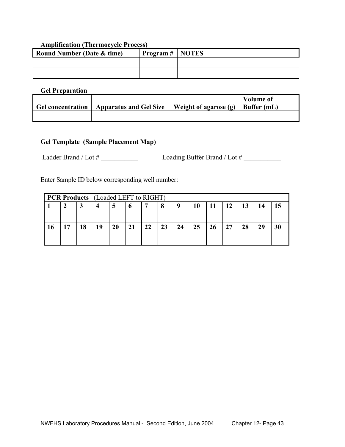# **Amplification (Thermocycle Process)**

| <b>Round Number (Date &amp; time)</b> | $\mid$ Program $\#$   NOTES |  |
|---------------------------------------|-----------------------------|--|
|                                       |                             |  |
|                                       |                             |  |

#### **Gel Preparation**

| Gel concentration   Apparatus and Gel Size | Weight of agarose (g) | Volume of<br>$\vert$ Buffer (mL) |
|--------------------------------------------|-----------------------|----------------------------------|
|                                            |                       |                                  |

# **Gel Template (Sample Placement Map)**

Ladder Brand / Lot # \_\_\_\_\_\_\_\_\_\_\_ Loading Buffer Brand / Lot # \_\_\_\_\_\_\_\_\_\_\_

Enter Sample ID below corresponding well number:

| <b>PCR Products</b> (Loaded LEFT to RIGHT) |    |    |    |    |    |    |    |    |    |    |    |    |  |
|--------------------------------------------|----|----|----|----|----|----|----|----|----|----|----|----|--|
|                                            |    |    |    | o  |    | 8  | u  |    |    | 12 | 13 | 14 |  |
|                                            |    |    |    |    |    |    |    |    |    |    |    |    |  |
| 7                                          | 18 | 19 | 20 | 21 | 22 | 23 | 24 | 25 | 26 | 27 | 28 | 29 |  |
|                                            |    |    |    |    |    |    |    |    |    |    |    |    |  |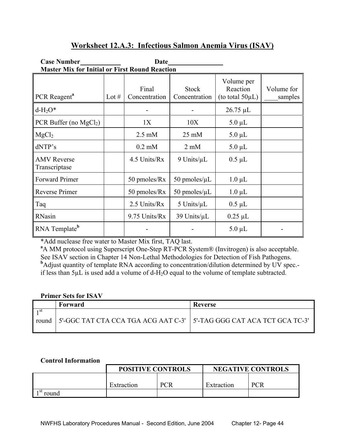# **Worksheet 12.A.3: Infectious Salmon Anemia Virus (ISAV)**

| <b>Case Number</b>                                    |         | Date                   |                               |                                                 |                       |
|-------------------------------------------------------|---------|------------------------|-------------------------------|-------------------------------------------------|-----------------------|
| <b>Master Mix for Initial or First Round Reaction</b> |         |                        |                               |                                                 |                       |
| PCR Reagent <sup>a</sup>                              | Lot $#$ | Final<br>Concentration | <b>Stock</b><br>Concentration | Volume per<br>Reaction<br>(to total $50\mu L$ ) | Volume for<br>samples |
| $d-H2O*$                                              |         |                        |                               | 26.75 µL                                        |                       |
| PCR Buffer (no $MgCl2$ )                              |         | 1X                     | 10X                           | $5.0 \mu L$                                     |                       |
| MgCl <sub>2</sub>                                     |         | $2.5 \text{ mM}$       | $25 \text{ mM}$               | $5.0 \mu L$                                     |                       |
| dNTP's                                                |         | $0.2$ mM               | $2 \text{ mM}$                | $5.0 \mu L$                                     |                       |
| <b>AMV</b> Reverse<br>Transcriptase                   |         | 4.5 Units/Rx           | $9$ Units/ $\mu$ L            | $0.5 \mu L$                                     |                       |
| <b>Forward Primer</b>                                 |         | 50 pmoles/Rx           | 50 pmoles/ $\mu$ L            | $1.0 \mu L$                                     |                       |
| Reverse Primer                                        |         | 50 pmoles/Rx           | 50 pmoles/ $\mu$ L            | $1.0 \mu L$                                     |                       |
| Taq                                                   |         | 2.5 Units/Rx           | 5 Units/ $\mu$ L              | $0.5 \mu L$                                     |                       |
| RNasin                                                |         | 9.75 Units/Rx          | 39 Units/µL                   | $0.25 \mu L$                                    |                       |
| RNA Template <sup>b</sup>                             |         |                        |                               | $5.0 \mu L$                                     |                       |

\*Add nuclease free water to Master Mix first, TAQ last. **<sup>a</sup>**

<sup>a</sup>A MM protocol using Superscript One-Step RT-PCR System® (Invitrogen) is also acceptable. See ISAV section in Chapter 14 Non-Lethal Methodologies for Detection of Fish Pathogens. <sup>b</sup>Adjust quantity of template RNA according to concentration/dilution determined by UV spec.if less than  $5\mu$ L is used add a volume of d-H<sub>2</sub>O equal to the volume of template subtracted.

# **Primer Sets for ISAV**

|              | Forward                                                                | Reverse |
|--------------|------------------------------------------------------------------------|---------|
| ⊣st<br>round | 5'-GGC TAT CTA CCA TGA ACG AAT C-3'   5'-TAG GGG CAT ACA TCT GCA TC-3' |         |

#### **Control Information**

|               | <b>POSITIVE CONTROLS</b> |            |            | <b>NEGATIVE CONTROLS</b> |
|---------------|--------------------------|------------|------------|--------------------------|
|               |                          |            |            |                          |
|               | Extraction               | <b>PCR</b> | Extraction | PCR                      |
| ∣ st<br>round |                          |            |            |                          |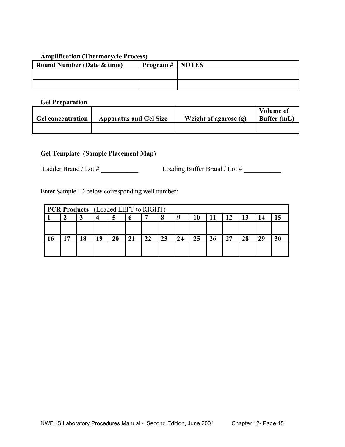## **Amplification (Thermocycle Process)**

| <b>Round Number (Date &amp; time)</b> | $\mid$ Program #   NOTES |  |
|---------------------------------------|--------------------------|--|
|                                       |                          |  |
|                                       |                          |  |

**Gel Preparation** 

| Gel concentration | <b>Apparatus and Gel Size</b> | Weight of agarose (g) | <b>Volume of</b><br>Buffer (mL) |
|-------------------|-------------------------------|-----------------------|---------------------------------|
|                   |                               |                       |                                 |

# **Gel Template (Sample Placement Map)**

Ladder Brand / Lot # \_\_\_\_\_\_\_\_\_\_\_ Loading Buffer Brand / Lot # \_\_\_\_\_\_\_\_\_\_\_

Enter Sample ID below corresponding well number:

| <b>PCR Products</b> (Loaded LEFT to RIGHT) |    |    |    |    |    |    |    |    |    |    |    |    |  |
|--------------------------------------------|----|----|----|----|----|----|----|----|----|----|----|----|--|
|                                            |    |    |    |    |    | 8  | u  |    |    | 12 | 13 | 14 |  |
|                                            |    |    |    |    |    |    |    |    |    |    |    |    |  |
| 17                                         | 18 | 19 | 20 | 21 | 22 | 23 | 24 | 25 | 26 | 27 | 28 | 29 |  |
|                                            |    |    |    |    |    |    |    |    |    |    |    |    |  |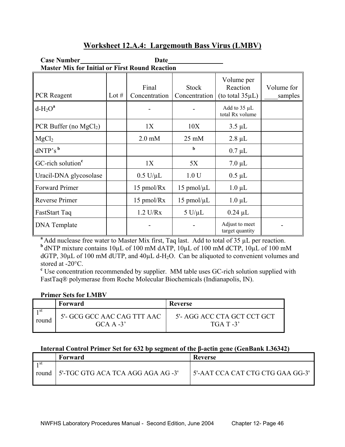# **Worksheet 12.A.4: Largemouth Bass Virus (LMBV)**

| <b>Case Number</b>                                    |         | Date                   |                               |                                                 |                       |
|-------------------------------------------------------|---------|------------------------|-------------------------------|-------------------------------------------------|-----------------------|
| <b>Master Mix for Initial or First Round Reaction</b> |         |                        |                               |                                                 |                       |
| <b>PCR</b> Reagent                                    | Lot $#$ | Final<br>Concentration | <b>Stock</b><br>Concentration | Volume per<br>Reaction<br>(to total $35\mu L$ ) | Volume for<br>samples |
| $d-H_2O^a$                                            |         |                        |                               | Add to $35 \mu L$<br>total Rx volume            |                       |
| PCR Buffer (no $MgCl2$ )                              |         | 1X                     | 10X                           | $3.5 \mu L$                                     |                       |
| MgCl <sub>2</sub>                                     |         | $2.0$ mM               | $25 \text{ mM}$               | $2.8 \mu L$                                     |                       |
| $dNTP's^b$                                            |         |                        | $\mathbf b$                   | $0.7 \mu L$                                     |                       |
| GC-rich solution <sup>c</sup>                         |         | 1X                     | 5X                            | $7.0 \mu L$                                     |                       |
| Uracil-DNA glycosolase                                |         | $0.5$ U/ $\mu$ L       | 1.0 <sub>U</sub>              | $0.5 \mu L$                                     |                       |
| Forward Primer                                        |         | 15 pmol/Rx             | $15$ pmol/ $\mu$ L            | $1.0 \mu L$                                     |                       |
| Reverse Primer                                        |         | 15 pmol/Rx             | $15$ pmol/ $\mu$ L            | $1.0 \mu L$                                     |                       |
| FastStart Taq                                         |         | $1.2$ U/Rx             | $5$ U/ $\mu$ L                | $0.24 \mu L$                                    |                       |
| <b>DNA</b> Template                                   |         |                        |                               | Adjust to meet<br>target quantity               |                       |

<sup>a</sup>Add nuclease free water to Master Mix first, Taq last. Add to total of 35 µL per reaction. **b** dNTP mixture contains  $10\mu$ L of 100 mM dATP,  $10\mu$ L of 100 mM dCTP,  $10\mu$ L of 100 mM dGTP,  $30\mu$ L of 100 mM dUTP, and  $40\mu$ L d-H<sub>2</sub>O. Can be aliquoted to convenient volumes and stored at -20°C.

<sup>c</sup> Use concentration recommended by supplier. MM table uses GC-rich solution supplied with FastTaq® polymerase from Roche Molecular Biochemicals (Indianapolis, IN).

#### **Primer Sets for LMBV**

|       | Forward                                    | Reverse                                    |
|-------|--------------------------------------------|--------------------------------------------|
| round | 5'- GCG GCC AAC CAG TTT AAC<br>$GCA A -3'$ | 5'- AGG ACC CTA GCT CCT GCT<br>$TGA T -3'$ |

## **Internal Control Primer Set for 632 bp segment of the β-actin gene (GenBank L36342)**

| Forward                                 | Reverse                          |
|-----------------------------------------|----------------------------------|
| round 5'-TGC GTG ACA TCA AGG AGA AG -3' | 5'-AAT CCA CAT CTG CTG GAA GG-3' |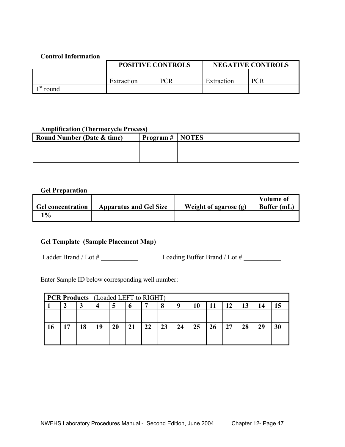## **Control Information**

|              | <b>POSITIVE CONTROLS</b> |            | <b>NEGATIVE CONTROLS</b> |            |  |
|--------------|--------------------------|------------|--------------------------|------------|--|
|              |                          |            |                          |            |  |
|              | Extraction               | <b>PCR</b> | Extraction               | <b>PCR</b> |  |
| ⊦st<br>round |                          |            |                          |            |  |

#### **Amplification (Thermocycle Process)**

| <b>Round Number (Date &amp; time)</b> | Program #   NOTES |  |
|---------------------------------------|-------------------|--|
|                                       |                   |  |
|                                       |                   |  |

## **Gel Preparation**

|                          |                               |                       | <b>Volume of</b> |
|--------------------------|-------------------------------|-----------------------|------------------|
| <b>Gel concentration</b> | <b>Apparatus and Gel Size</b> | Weight of agarose (g) | Buffer (mL)      |
| $\mathbf{Q}_0$           |                               |                       |                  |

# **Gel Template (Sample Placement Map)**

Ladder Brand / Lot # \_\_\_\_\_\_\_\_\_\_\_ Loading Buffer Brand / Lot # \_\_\_\_\_\_\_\_\_\_\_

Enter Sample ID below corresponding well number:

| <b>PCR Products</b> (Loaded LEFT to RIGHT) |    |    |    |    |    |    |    |    |    |    |    |  |
|--------------------------------------------|----|----|----|----|----|----|----|----|----|----|----|--|
|                                            |    |    |    |    |    |    |    |    | 12 | 13 | 14 |  |
|                                            |    |    |    |    |    |    |    |    |    |    |    |  |
| 17                                         | 18 | 19 | 20 | 21 | 22 | 23 | 24 | 25 | 27 | 28 | 29 |  |
|                                            |    |    |    |    |    |    |    |    |    |    |    |  |
|                                            |    |    |    |    |    |    |    |    |    |    |    |  |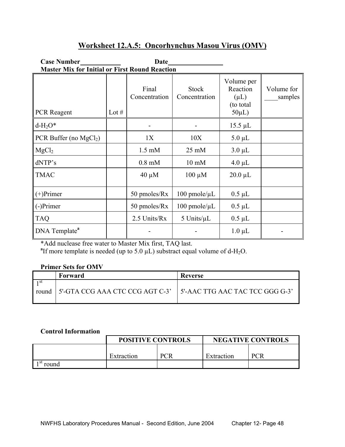# **Worksheet 12.A.5: Oncorhynchus Masou Virus (OMV)**

## Case Number<br>
<u>Date</u> **Master Mix for Initial or First Round Reaction**

| <b>PCR</b> Reagent        | Lot $#$ | Final<br>Concentration | <b>Stock</b><br>Concentration | Volume per<br>Reaction<br>$(\mu L)$<br>(to total)<br>$50\mu L$ ) | Volume for<br>samples |
|---------------------------|---------|------------------------|-------------------------------|------------------------------------------------------------------|-----------------------|
| $d-H2O*$                  |         |                        |                               | $15.5 \mu L$                                                     |                       |
| PCR Buffer (no $MgCl2$ )  |         | 1X                     | 10X                           | $5.0 \mu L$                                                      |                       |
| MgCl <sub>2</sub>         |         | $1.5 \text{ mM}$       | $25 \text{ mM}$               | $3.0 \mu L$                                                      |                       |
| dNTP's                    |         | $0.8$ mM               | $10 \text{ mM}$               | $4.0 \mu L$                                                      |                       |
| <b>TMAC</b>               |         | $40 \mu M$             | $100 \mu M$                   | $20.0 \mu L$                                                     |                       |
| $(+)$ Primer              |         | 50 pmoles/Rx           | $100$ pmole/ $\mu$ L          | $0.5 \mu L$                                                      |                       |
| (-)Primer                 |         | 50 pmoles/Rx           | $100$ pmole/ $\mu$ L          | $0.5 \mu L$                                                      |                       |
| <b>TAQ</b>                |         | 2.5 Units/Rx           | 5 Units/ $\mu$ L              | $0.5 \mu L$                                                      |                       |
| DNA Template <sup>a</sup> |         |                        |                               | $1.0 \mu L$                                                      |                       |

\*Add nuclease free water to Master Mix first, TAQ last. **<sup>a</sup>**

<sup>a</sup>If more template is needed (up to 5.0  $\mu$ L) substract equal volume of d-H<sub>2</sub>O.

# **Primer Sets for OMV**

|      | Forward                                                                   | Reverse |
|------|---------------------------------------------------------------------------|---------|
| 1 st | round   5'-GTA CCG AAA CTC CCG AGT C-3'   5'-AAC TTG AAC TAC TCC GGG G-3' |         |

# **Control Information**

|              | <b>POSITIVE CONTROLS</b> |            | <b>NEGATIVE CONTROLS</b> |            |  |
|--------------|--------------------------|------------|--------------------------|------------|--|
|              |                          |            |                          |            |  |
|              | Extraction               | <b>PCR</b> | Extraction               | <b>PCR</b> |  |
| -st<br>round |                          |            |                          |            |  |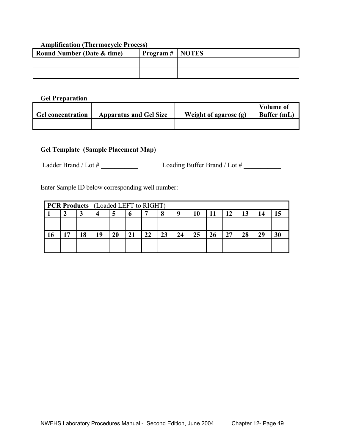#### **Amplification (Thermocycle Process)**

| <b>Round Number (Date &amp; time)</b> | $\mid$ Program #   NOTES |  |
|---------------------------------------|--------------------------|--|
|                                       |                          |  |
|                                       |                          |  |

#### **Gel Preparation**

| <b>Gel concentration</b> | <b>Apparatus and Gel Size</b> | Weight of agarose $(g)$ | <b>Volume of</b><br>Buffer (mL) |
|--------------------------|-------------------------------|-------------------------|---------------------------------|
|                          |                               |                         |                                 |

# **Gel Template (Sample Placement Map)**

Ladder Brand / Lot # \_\_\_\_\_\_\_\_\_\_\_ Loading Buffer Brand / Lot # \_\_\_\_\_\_\_\_\_\_\_

Enter Sample ID below corresponding well number:

| <b>PCR Products</b> (Loaded LEFT to RIGHT) |    |    |    |    |    |          |    |    |  |    |    |    |  |
|--------------------------------------------|----|----|----|----|----|----------|----|----|--|----|----|----|--|
|                                            |    |    |    |    |    | x        | u  |    |  | 12 | 13 |    |  |
|                                            |    |    |    |    |    |          |    |    |  |    |    |    |  |
| דו                                         | ۱Q | 19 | 20 | 21 | 22 | つつ<br>∠⊾ | 24 | 25 |  | 27 | 28 | 29 |  |
|                                            |    |    |    |    |    |          |    |    |  |    |    |    |  |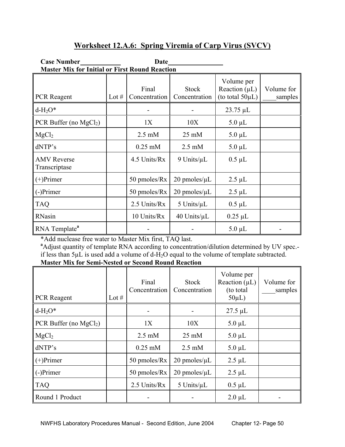# **Worksheet 12.A.6: Spring Viremia of Carp Virus (SVCV)**

| <b>Case Number</b>                                    |         | Date                   |                               |                                                           |                       |
|-------------------------------------------------------|---------|------------------------|-------------------------------|-----------------------------------------------------------|-----------------------|
| <b>Master Mix for Initial or First Round Reaction</b> |         |                        |                               |                                                           |                       |
| <b>PCR</b> Reagent                                    | Lot $#$ | Final<br>Concentration | <b>Stock</b><br>Concentration | Volume per<br>Reaction $(\mu L)$<br>(to total $50\mu L$ ) | Volume for<br>samples |
| $d-H_2O^*$                                            |         |                        |                               | $23.75 \mu L$                                             |                       |
| PCR Buffer (no $MgCl2$ )                              |         | 1X                     | 10X                           | $5.0 \mu L$                                               |                       |
| MgCl <sub>2</sub>                                     |         | $2.5 \text{ mM}$       | $25 \text{ mM}$               | $5.0 \mu L$                                               |                       |
| dNTP's                                                |         | $0.25$ mM              | $2.5 \text{ mM}$              | $5.0 \mu L$                                               |                       |
| <b>AMV</b> Reverse<br>Transcriptase                   |         | 4.5 Units/Rx           | 9 Units/ $\mu$ L              | $0.5 \mu L$                                               |                       |
| $(+)$ Primer                                          |         | 50 pmoles/Rx           | $20$ pmoles/ $\mu$ L          | $2.5 \mu L$                                               |                       |
| (-)Primer                                             |         | 50 pmoles/Rx           | $20$ pmoles/ $\mu$ L          | $2.5 \mu L$                                               |                       |
| <b>TAQ</b>                                            |         | 2.5 Units/Rx           | 5 Units/ $\mu$ L              | $0.5 \mu L$                                               |                       |
| RNasin                                                |         | 10 Units/Rx            | $40$ Units/ $\mu$ L           | $0.25 \mu L$                                              |                       |
| RNA Template <sup>a</sup>                             |         |                        |                               | $5.0 \mu L$                                               |                       |

\*Add nuclease free water to Master Mix first, TAQ last. **<sup>a</sup>** Adjust quantity of template RNA according to concentration/dilution determined by UV spec. if less than  $5\mu$ L is used add a volume of d-H<sub>2</sub>O equal to the volume of template subtracted. **Master Mix for Semi-Nested or Second Round Reaction** 

| <b>PCR</b> Reagent       | Lot $#$ | Final<br>Concentration | <b>Stock</b><br>Concentration | Volume per<br>Reaction $(\mu L)$<br>(to total)<br>$50\mu L$ ) | Volume for<br>samples |
|--------------------------|---------|------------------------|-------------------------------|---------------------------------------------------------------|-----------------------|
| $d-H2O*$                 |         |                        |                               | $27.5 \mu L$                                                  |                       |
| PCR Buffer (no $MgCl2$ ) |         | 1X                     | 10X                           | $5.0 \mu L$                                                   |                       |
| MgCl <sub>2</sub>        |         | $2.5 \text{ mM}$       | $25 \text{ mM}$               | $5.0 \mu L$                                                   |                       |
| dNTP's                   |         | $0.25$ mM              | $2.5 \text{ mM}$              | $5.0 \mu L$                                                   |                       |
| $\parallel$ (+)Primer    |         | 50 pmoles/Rx           | $20$ pmoles/ $\mu$ L          | $2.5 \mu L$                                                   |                       |
| (-)Primer                |         | 50 pmoles/Rx           | $20$ pmoles/ $\mu$ L          | $2.5 \mu L$                                                   |                       |
| <b>TAQ</b>               |         | 2.5 Units/Rx           | 5 Units/ $\mu$ L              | $0.5 \mu L$                                                   |                       |
| Round 1 Product          |         |                        |                               | $2.0 \mu L$                                                   |                       |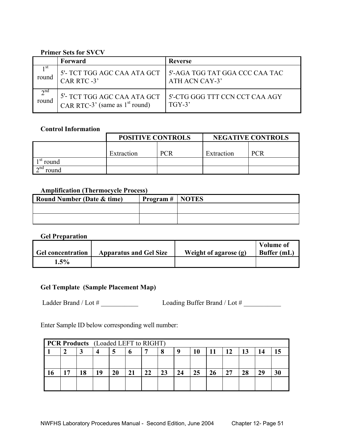## **Primer Sets for SVCV**

|                 | Forward                                      | Reverse                        |
|-----------------|----------------------------------------------|--------------------------------|
| 1 <sup>st</sup> | 5'- TCT TGG AGC CAA ATA GCT                  | 5'-AGA TGG TAT GGA CCC CAA TAC |
| round           | CAR RTC -3'                                  | ATH ACN CAY-3'                 |
| 2 <sup>nd</sup> | <sup>5'</sup> - TCT TGG AGC CAA ATA GCT      | 5'-CTG GGG TTT CCN CCT CAA AGY |
| round           | CAR RTC-3 <sup>'</sup> (same as $1st$ round) | $TGY-3'$                       |

# **Control Information**

|                       | <b>POSITIVE CONTROLS</b> |  | <b>NEGATIVE CONTROLS</b> |            |  |
|-----------------------|--------------------------|--|--------------------------|------------|--|
|                       | <b>PCR</b><br>Extraction |  | Extraction               | <b>PCR</b> |  |
| ⊦st<br>round          |                          |  |                          |            |  |
| $\lambda$ nd<br>round |                          |  |                          |            |  |

# **Amplification (Thermocycle Process)**

| <b>Round Number (Date &amp; time)</b> | $'$ Program $\#$   NOTES |  |
|---------------------------------------|--------------------------|--|
|                                       |                          |  |
|                                       |                          |  |

#### **Gel Preparation**

| <b>Gel concentration</b> | <b>Apparatus and Gel Size</b> | Weight of agarose (g) | <b>Volume of</b><br>Buffer (mL) |
|--------------------------|-------------------------------|-----------------------|---------------------------------|
| $.5\%$                   |                               |                       |                                 |

## **Gel Template (Sample Placement Map)**

Ladder Brand / Lot # \_\_\_\_\_\_\_\_\_\_\_ Loading Buffer Brand / Lot # \_\_\_\_\_\_\_\_\_\_\_

Enter Sample ID below corresponding well number:

| <b>PCR Products</b> (Loaded LEFT to RIGHT) |     |    |    |    |    |    |    |    |  |    |    |    |  |
|--------------------------------------------|-----|----|----|----|----|----|----|----|--|----|----|----|--|
|                                            |     | 4  |    |    |    | 8  | u  | 10 |  | 12 | 13 |    |  |
|                                            |     |    |    |    |    |    |    |    |  |    |    |    |  |
| 17                                         | 1 Q | 19 | 20 | 21 | 22 | 23 | 24 | 25 |  | 27 | 28 | 29 |  |
|                                            |     |    |    |    |    |    |    |    |  |    |    |    |  |
|                                            |     |    |    |    |    |    |    |    |  |    |    |    |  |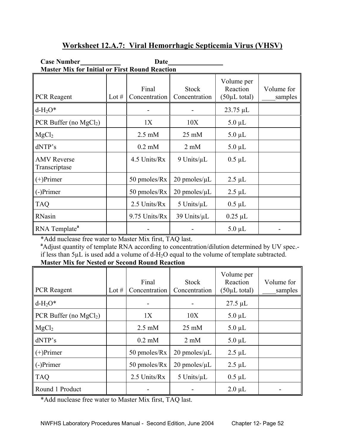# **Worksheet 12.A.7: Viral Hemorrhagic Septicemia Virus (VHSV)**

|                                     | <b>Master Mix for Initial or First Round Reaction</b> |                        |                               |                                                     |                       |  |  |  |  |  |  |
|-------------------------------------|-------------------------------------------------------|------------------------|-------------------------------|-----------------------------------------------------|-----------------------|--|--|--|--|--|--|
| <b>PCR</b> Reagent                  | Lot $#$                                               | Final<br>Concentration | <b>Stock</b><br>Concentration | Volume per<br>Reaction<br>$(50\mu L \text{ total})$ | Volume for<br>samples |  |  |  |  |  |  |
| $d-H2O*$                            |                                                       |                        |                               | $23.75 \mu L$                                       |                       |  |  |  |  |  |  |
| PCR Buffer (no $MgCl2$ )            |                                                       | 1X                     | 10X                           | $5.0 \mu L$                                         |                       |  |  |  |  |  |  |
| MgCl <sub>2</sub>                   |                                                       | $2.5 \text{ mM}$       | $25 \text{ mM}$               | $5.0 \mu L$                                         |                       |  |  |  |  |  |  |
| dNTP's                              |                                                       | $0.2$ mM               | $2 \text{ mM}$                | $5.0 \mu L$                                         |                       |  |  |  |  |  |  |
| <b>AMV</b> Reverse<br>Transcriptase |                                                       | 4.5 Units/Rx           | 9 Units/ $\mu$ L              | $0.5 \mu L$                                         |                       |  |  |  |  |  |  |
| $(+)$ Primer                        |                                                       | 50 pmoles/Rx           | $20$ pmoles/ $\mu$ L          | $2.5 \mu L$                                         |                       |  |  |  |  |  |  |
| $(-)$ Primer                        |                                                       | 50 pmoles/Rx           | $20$ pmoles/ $\mu$ L          | $2.5 \mu L$                                         |                       |  |  |  |  |  |  |
| <b>TAQ</b>                          |                                                       | 2.5 Units/Rx           | $5$ Units/ $\mu$ L            | $0.5 \mu L$                                         |                       |  |  |  |  |  |  |
| RNasin                              |                                                       | 9.75 Units/Rx          | 39 Units/ $\mu$ L             | $0.25 \mu L$                                        |                       |  |  |  |  |  |  |
| RNA Template <sup>a</sup>           |                                                       |                        |                               | $5.0 \mu L$                                         |                       |  |  |  |  |  |  |

\*Add nuclease free water to Master Mix first, TAQ last. **<sup>a</sup>**

**Case Number Date** 

<sup>a</sup>Adjust quantity of template RNA according to concentration/dilution determined by UV spec.if less than 5µL is used add a volume of d-H2O equal to the volume of template subtracted. **Master Mix for Nested or Second Round Reaction** 

| PCR Reagent              | Lot $#$ | Final<br>Concentration | <b>Stock</b><br>Concentration | Volume per<br>Reaction<br>$(50\mu L \text{ total})$ | Volume for<br>samples |
|--------------------------|---------|------------------------|-------------------------------|-----------------------------------------------------|-----------------------|
| $d-H2O*$                 |         |                        |                               | $27.5 \mu L$                                        |                       |
| PCR Buffer (no $MgCl2$ ) |         | 1X                     | 10X                           | $5.0 \mu L$                                         |                       |
| MgCl <sub>2</sub>        |         | $2.5 \text{ mM}$       | $25 \text{ mM}$               | $5.0 \mu L$                                         |                       |
| dNTP's                   |         | $0.2$ mM               | $2 \text{ mM}$                | $5.0 \mu L$                                         |                       |
| $(+)$ Primer             |         | 50 pmoles/Rx           | $20$ pmoles/ $\mu$ L          | $2.5 \mu L$                                         |                       |
| $(-)$ Primer             |         | 50 pmoles/Rx           | $20$ pmoles/ $\mu$ L          | $2.5 \mu L$                                         |                       |
| <b>TAQ</b>               |         | 2.5 Units/Rx           | $5$ Units/ $\mu$ L            | $0.5 \mu L$                                         |                       |
| Round 1 Product          |         |                        |                               | $2.0 \mu L$                                         |                       |

\*Add nuclease free water to Master Mix first, TAQ last.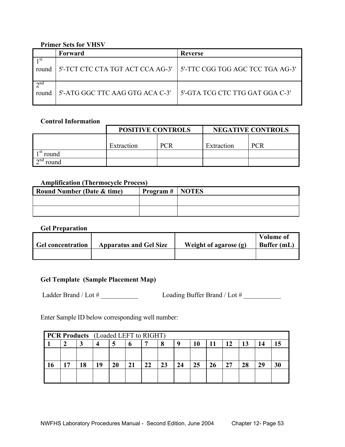## **Primer Sets for VHSV**

|                      | Forward                                                             | Reverse                         |
|----------------------|---------------------------------------------------------------------|---------------------------------|
| round                | 5'-TCT CTC CTA TGT ACT CCA AG-3'   5'-TTC CGG TGG AGC TCC TGA AG-3' |                                 |
| $\gamma$ nd<br>round | 5'-ATG GGC TTC AAG GTG ACA C-3'                                     | 5'-GTA TCG CTC TTG GAT GGA C-3' |

#### **Control Information**

|                       | <b>POSITIVE CONTROLS</b> |            | <b>NEGATIVE CONTROLS</b> |            |  |
|-----------------------|--------------------------|------------|--------------------------|------------|--|
|                       | Extraction               | <b>PCR</b> | Extraction               | <b>PCR</b> |  |
| round                 |                          |            |                          |            |  |
| $\lambda$ nd<br>round |                          |            |                          |            |  |

#### **Amplification (Thermocycle Process)**

| <b>Round Number (Date &amp; time)</b> | $\text{Program} \# \mid \text{NOTES}$ |  |
|---------------------------------------|---------------------------------------|--|
|                                       |                                       |  |
|                                       |                                       |  |

#### **Gel Preparation**

| <b>Gel concentration</b> | <b>Apparatus and Gel Size</b> | Weight of agarose (g) | <b>Volume of</b><br>Buffer (mL) |
|--------------------------|-------------------------------|-----------------------|---------------------------------|
|                          |                               |                       |                                 |

# **Gel Template (Sample Placement Map)**

Ladder Brand / Lot # \_\_\_\_\_\_\_\_\_\_\_ Loading Buffer Brand / Lot # \_\_\_\_\_\_\_\_\_\_\_

Enter Sample ID below corresponding well number:

| <b>PCR Products</b> (Loaded LEFT to RIGHT) |    |    |    |    |    |    |    |    |    |    |    |    |    |
|--------------------------------------------|----|----|----|----|----|----|----|----|----|----|----|----|----|
|                                            |    | 4  | Э  | o  |    | 8  | u  | 10 |    | 12 | 13 | 14 |    |
|                                            |    |    |    |    |    |    |    |    |    |    |    |    |    |
| . 7                                        | 18 | 19 | 20 | 21 | 22 | 23 | 24 | 25 | 26 | 27 | 28 | 29 | 30 |
|                                            |    |    |    |    |    |    |    |    |    |    |    |    |    |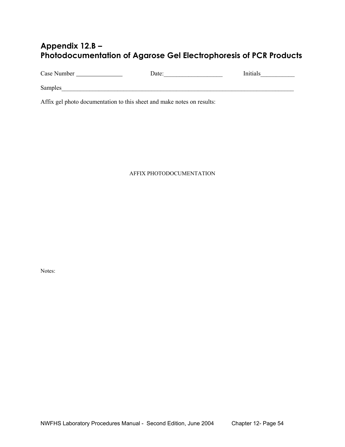# **Appendix 12.B – Photodocumentation of Agarose Gel Electrophoresis of PCR Products**

Case Number Date:\_\_\_\_\_\_\_\_\_\_\_\_\_\_\_\_\_\_\_ Initials\_\_\_\_\_\_\_\_\_\_\_

Samples\_\_\_\_\_\_\_\_\_\_\_\_\_\_\_\_\_\_\_\_\_\_\_\_\_\_\_\_\_\_\_\_\_\_\_\_\_\_\_\_\_\_\_\_\_\_\_\_\_\_\_\_\_\_\_\_\_\_\_\_\_\_\_\_\_\_\_\_\_\_\_\_\_\_\_

Affix gel photo documentation to this sheet and make notes on results:

#### AFFIX PHOTODOCUMENTATION

Notes: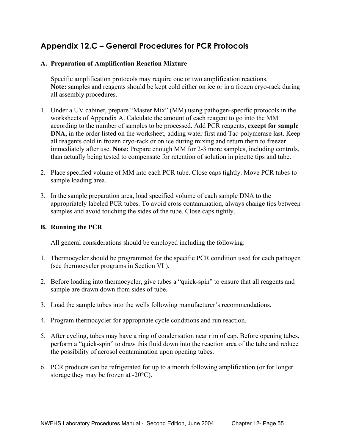# **Appendix 12.C – General Procedures for PCR Protocols**

## **A. Preparation of Amplification Reaction Mixture**

 Specific amplification protocols may require one or two amplification reactions. **Note:** samples and reagents should be kept cold either on ice or in a frozen cryo-rack during all assembly procedures.

- 1. Under a UV cabinet, prepare "Master Mix" (MM) using pathogen-specific protocols in the worksheets of Appendix A. Calculate the amount of each reagent to go into the MM according to the number of samples to be processed. Add PCR reagents, **except for sample DNA**, in the order listed on the worksheet, adding water first and Taq polymerase last. Keep all reagents cold in frozen cryo-rack or on ice during mixing and return them to freezer immediately after use. **Note:** Prepare enough MM for 2-3 more samples, including controls, than actually being tested to compensate for retention of solution in pipette tips and tube.
- 2. Place specified volume of MM into each PCR tube. Close caps tightly. Move PCR tubes to sample loading area.
- 3. In the sample preparation area, load specified volume of each sample DNA to the appropriately labeled PCR tubes. To avoid cross contamination, always change tips between samples and avoid touching the sides of the tube. Close caps tightly.

#### **B. Running the PCR**

All general considerations should be employed including the following:

- 1. Thermocycler should be programmed for the specific PCR condition used for each pathogen (see thermocycler programs in Section VI ).
- 2. Before loading into thermocycler, give tubes a "quick-spin" to ensure that all reagents and sample are drawn down from sides of tube.
- 3. Load the sample tubes into the wells following manufacturer's recommendations.
- 4. Program thermocycler for appropriate cycle conditions and run reaction.
- 5. After cycling, tubes may have a ring of condensation near rim of cap. Before opening tubes, perform a "quick-spin" to draw this fluid down into the reaction area of the tube and reduce the possibility of aerosol contamination upon opening tubes.
- 6. PCR products can be refrigerated for up to a month following amplification (or for longer storage they may be frozen at -20°C).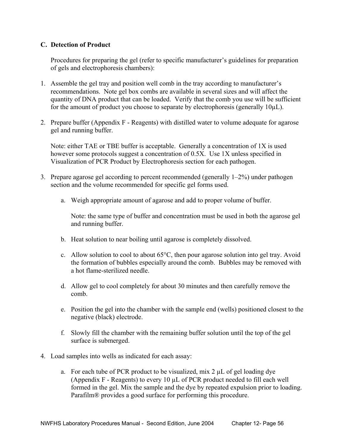## **C. Detection of Product**

 Procedures for preparing the gel (refer to specific manufacturer's guidelines for preparation of gels and electrophoresis chambers):

- 1. Assemble the gel tray and position well comb in the tray according to manufacturer's recommendations. Note gel box combs are available in several sizes and will affect the quantity of DNA product that can be loaded. Verify that the comb you use will be sufficient for the amount of product you choose to separate by electrophoresis (generally 10µL).
- 2. Prepare buffer (Appendix F Reagents) with distilled water to volume adequate for agarose gel and running buffer.

 Note: either TAE or TBE buffer is acceptable. Generally a concentration of 1X is used however some protocols suggest a concentration of 0.5X. Use 1X unless specified in Visualization of PCR Product by Electrophoresis section for each pathogen.

- 3. Prepare agarose gel according to percent recommended (generally 1–2%) under pathogen section and the volume recommended for specific gel forms used.
	- a. Weigh appropriate amount of agarose and add to proper volume of buffer.

 Note: the same type of buffer and concentration must be used in both the agarose gel and running buffer.

- b. Heat solution to near boiling until agarose is completely dissolved.
- c. Allow solution to cool to about 65°C, then pour agarose solution into gel tray. Avoid the formation of bubbles especially around the comb. Bubbles may be removed with a hot flame-sterilized needle.
- d. Allow gel to cool completely for about 30 minutes and then carefully remove the comb.
- e. Position the gel into the chamber with the sample end (wells) positioned closest to the negative (black) electrode.
- f. Slowly fill the chamber with the remaining buffer solution until the top of the gel surface is submerged.
- 4. Load samples into wells as indicated for each assay:
	- a. For each tube of PCR product to be visualized, mix  $2 \mu L$  of gel loading dye (Appendix F - Reagents) to every 10 µL of PCR product needed to fill each well formed in the gel. Mix the sample and the dye by repeated expulsion prior to loading. Parafilm® provides a good surface for performing this procedure.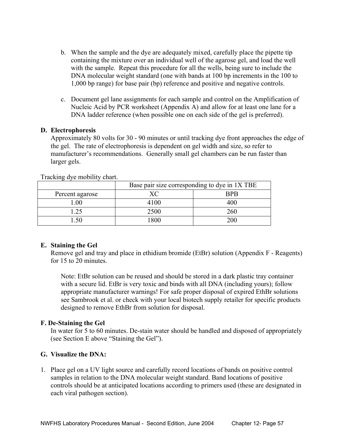- b. When the sample and the dye are adequately mixed, carefully place the pipette tip containing the mixture over an individual well of the agarose gel, and load the well with the sample. Repeat this procedure for all the wells, being sure to include the DNA molecular weight standard (one with bands at 100 bp increments in the 100 to 1,000 bp range) for base pair (bp) reference and positive and negative controls.
- c. Document gel lane assignments for each sample and control on the Amplification of Nucleic Acid by PCR worksheet (Appendix A) and allow for at least one lane for a DNA ladder reference (when possible one on each side of the gel is preferred).

#### **D. Electrophoresis**

 Approximately 80 volts for 30 - 90 minutes or until tracking dye front approaches the edge of the gel. The rate of electrophoresis is dependent on gel width and size, so refer to manufacturer's recommendations. Generally small gel chambers can be run faster than larger gels.

|                 | Base pair size corresponding to dye in 1X TBE |            |  |
|-----------------|-----------------------------------------------|------------|--|
| Percent agarose |                                               | <b>BPB</b> |  |
| .00             | 4100                                          | 400        |  |
| .25             | 2500                                          | 260        |  |
|                 | 1800                                          | 200        |  |

Tracking dye mobility chart.

#### **E. Staining the Gel**

 Remove gel and tray and place in ethidium bromide (EtBr) solution (Appendix F - Reagents) for 15 to 20 minutes.

 Note: EtBr solution can be reused and should be stored in a dark plastic tray container with a secure lid. EtBr is very toxic and binds with all DNA (including yours); follow appropriate manufacturer warnings! For safe proper disposal of expired EthBr solutions see Sambrook et al. or check with your local biotech supply retailer for specific products designed to remove EthBr from solution for disposal.

#### **F. De-Staining the Gel**

 In water for 5 to 60 minutes. De-stain water should be handled and disposed of appropriately (see Section E above "Staining the Gel").

#### **G. Visualize the DNA:**

1. Place gel on a UV light source and carefully record locations of bands on positive control samples in relation to the DNA molecular weight standard. Band locations of positive controls should be at anticipated locations according to primers used (these are designated in each viral pathogen section).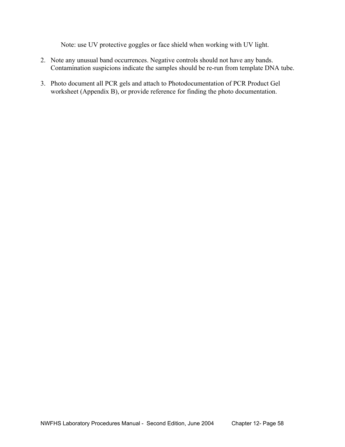Note: use UV protective goggles or face shield when working with UV light.

- 2. Note any unusual band occurrences. Negative controls should not have any bands. Contamination suspicions indicate the samples should be re-run from template DNA tube.
- 3. Photo document all PCR gels and attach to Photodocumentation of PCR Product Gel worksheet (Appendix B), or provide reference for finding the photo documentation.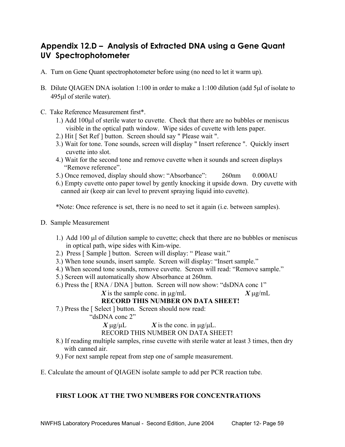# **Appendix 12.D – Analysis of Extracted DNA using a Gene Quant UV Spectrophotometer**

- A. Turn on Gene Quant spectrophotometer before using (no need to let it warm up).
- B. Dilute QIAGEN DNA isolation 1:100 in order to make a 1:100 dilution (add 5µl of isolate to 495µl of sterile water).
- C. Take Reference Measurement first\*.
	- 1.) Add 100µl of sterile water to cuvette. Check that there are no bubbles or meniscus visible in the optical path window. Wipe sides of cuvette with lens paper.
	- 2.) Hit [ Set Ref ] button. Screen should say " Please wait ".
	- 3.) Wait for tone. Tone sounds, screen will display " Insert reference ". Quickly insert cuvette into slot.
	- 4.) Wait for the second tone and remove cuvette when it sounds and screen displays "Remove reference".
	- 5.) Once removed, display should show: "Absorbance": 260nm 0.000AU
	- 6.) Empty cuvette onto paper towel by gently knocking it upside down. Dry cuvette with canned air (keep air can level to prevent spraying liquid into cuvette).

\*Note: Once reference is set, there is no need to set it again (i.e. between samples).

- D. Sample Measurement
	- 1.) Add 100 µl of dilution sample to cuvette; check that there are no bubbles or meniscus in optical path, wipe sides with Kim-wipe.
	- 2.) Press [ Sample ] button. Screen will display: " Please wait."
	- 3.) When tone sounds, insert sample. Screen will display: "Insert sample."
	- 4.) When second tone sounds, remove cuvette. Screen will read: "Remove sample."
	- 5.) Screen will automatically show Absorbance at 260nm.
	- 6.) Press the [ RNA / DNA ] button. Screen will now show: "dsDNA conc 1" *X* is the sample conc. in  $\mu$ g/mL *X*  $\mu$ g/mL

# **RECORD THIS NUMBER ON DATA SHEET!**

7.) Press the [ Select ] button. Screen should now read:

"dsDNA conc 2"

 $X \mu g / \mu L$  *X* is the conc. in  $\mu g / \mu L$ .

#### RECORD THIS NUMBER ON DATA SHEET!

- 8.) If reading multiple samples, rinse cuvette with sterile water at least 3 times, then dry with canned air
- 9.) For next sample repeat from step one of sample measurement.
- E. Calculate the amount of QIAGEN isolate sample to add per PCR reaction tube.

# **FIRST LOOK AT THE TWO NUMBERS FOR CONCENTRATIONS**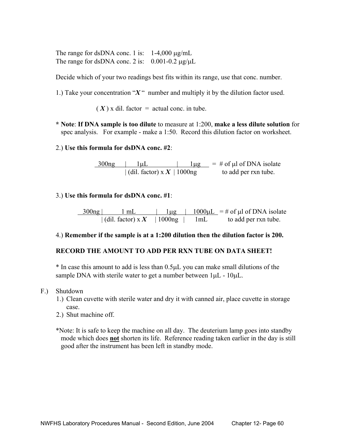The range for dsDNA conc. 1 is:  $1-4,000 \mu g/mL$ The range for dsDNA conc. 2 is:  $0.001 - 0.2 \mu g/\mu L$ 

Decide which of your two readings best fits within its range, use that conc. number.

1.) Take your concentration "*X* " number and multiply it by the dilution factor used.

 $(X)$  x dil. factor = actual conc. in tube.

 **\* Note**: **If DNA sample is too dilute** to measure at 1:200, **make a less dilute solution** for spec analysis. For example - make a 1:50. Record this dilution factor on worksheet.

#### 2.) **Use this formula for dsDNA conc. #2**:

 $\frac{300 \text{ng}}{1 \mu L}$  |  $\frac{1 \mu g}{1 \mu g}$  = # of  $\mu$ l of DNA isolate  $\int$  (dil. factor) x  $X$  | 1000ng to add per rxn tube.

#### 3.) **Use this formula for dsDNA conc. #1**:

 $\frac{300 \text{ ng}}{1 \text{ mL}}$  | 1µg | 1000µL = # of µl of DNA isolate  $\left| \right|$  (dil. factor) x X  $\left| \right|$  1000ng  $\left| \right|$  1 mL to add per rxn tube.

#### 4.) **Remember if the sample is at a 1:200 dilution then the dilution factor is 200.**

#### **RECORD THE AMOUNT TO ADD PER RXN TUBE ON DATA SHEET!**

 \* In case this amount to add is less than 0.5µL you can make small dilutions of the sample DNA with sterile water to get a number between  $1\mu$ L -  $10\mu$ L.

- F.) Shutdown
	- 1.) Clean cuvette with sterile water and dry it with canned air, place cuvette in storage case.
	- 2.) Shut machine off.

 \*Note: It is safe to keep the machine on all day. The deuterium lamp goes into standby mode which does **not** shorten its life. Reference reading taken earlier in the day is still good after the instrument has been left in standby mode.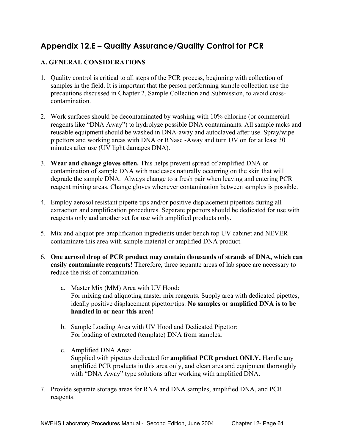# **Appendix 12.E – Quality Assurance/Quality Control for PCR**

# **A. GENERAL CONSIDERATIONS**

- 1. Quality control is critical to all steps of the PCR process, beginning with collection of samples in the field. It is important that the person performing sample collection use the precautions discussed in Chapter 2, Sample Collection and Submission, to avoid crosscontamination.
- 2. Work surfaces should be decontaminated by washing with 10% chlorine (or commercial reagents like "DNA Away") to hydrolyze possible DNA contaminants. All sample racks and reusable equipment should be washed in DNA-away and autoclaved after use. Spray/wipe pipettors and working areas with DNA or RNase -Away and turn UV on for at least 30 minutes after use (UV light damages DNA).
- 3. **Wear and change gloves often.** This helps prevent spread of amplified DNA or contamination of sample DNA with nucleases naturally occurring on the skin that will degrade the sample DNA. Always change to a fresh pair when leaving and entering PCR reagent mixing areas. Change gloves whenever contamination between samples is possible.
- 4. Employ aerosol resistant pipette tips and/or positive displacement pipettors during all extraction and amplification procedures. Separate pipettors should be dedicated for use with reagents only and another set for use with amplified products only.
- 5. Mix and aliquot pre-amplification ingredients under bench top UV cabinet and NEVER contaminate this area with sample material or amplified DNA product.
- 6. **One aerosol drop of PCR product may contain thousands of strands of DNA, which can easily contaminate reagents!** Therefore, three separate areas of lab space are necessary to reduce the risk of contamination.
	- a. Master Mix (MM) Area with UV Hood: For mixing and aliquoting master mix reagents. Supply area with dedicated pipettes, ideally positive displacement pipettor/tips. **No samples or amplified DNA is to be handled in or near this area!**
	- b. Sample Loading Area with UV Hood and Dedicated Pipettor: For loading of extracted (template) DNA from samples**.**
	- c. Amplified DNA Area: Supplied with pipettes dedicated for **amplified PCR product ONLY.** Handle any amplified PCR products in this area only, and clean area and equipment thoroughly with "DNA Away" type solutions after working with amplified DNA.
- 7. Provide separate storage areas for RNA and DNA samples, amplified DNA, and PCR reagents.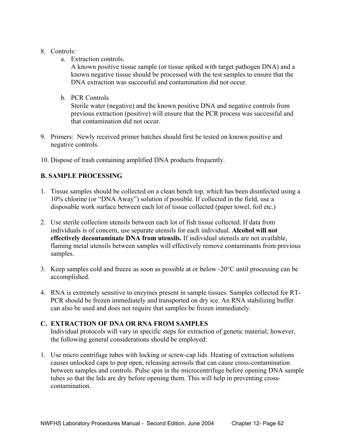## 8. Controls:

a. Extraction controls.

A known positive tissue sample (or tissue spiked with target pathogen DNA) and a known negative tissue should be processed with the test samples to ensure that the DNA extraction was successful and contamination did not occur.

b. PCR Controls

 Sterile water (negative) and the known positive DNA and negative controls from previous extraction (positive) will ensure that the PCR process was successful and that contamination did not occur.

- 9. Primers: Newly received primer batches should first be tested on known positive and negative controls.
- 10. Dispose of trash containing amplified DNA products frequently.

# **B. SAMPLE PROCESSING**

- 1. Tissue samples should be collected on a clean bench top, which has been disinfected using a 10% chlorine (or "DNA Away") solution if possible. If collected in the field, use a disposable work surface between each lot of tissue collected (paper towel, foil etc.)
- 2. Use sterile collection utensils between each lot of fish tissue collected. If data from individuals is of concern, use separate utensils for each individual. **Alcohol will not effectively decontaminate DNA from utensils.** If individual utensils are not available, flaming metal utensils between samples will effectively remove contaminants from previous samples.
- 3. Keep samples cold and freeze as soon as possible at or below -20°C until processing can be accomplished.
- 4. RNA is extremely sensitive to enzymes present in sample tissues. Samples collected for RT-PCR should be frozen immediately and transported on dry ice. An RNA stabilizing buffer can also be used and does not require that samples be frozen immediately.

# **C. EXTRACTION OF DNA OR RNA FROM SAMPLES**

 Individual protocols will vary in specific steps for extraction of genetic material; however, the following general considerations should be employed:

1. Use micro centrifuge tubes with locking or screw-cap lids. Heating of extraction solutions causes unlocked caps to pop open, releasing aerosols that can cause cross-contamination between samples and controls. Pulse spin in the microcentrifuge before opening DNA sample tubes so that the lids are dry before opening them. This will help in preventing crosscontamination.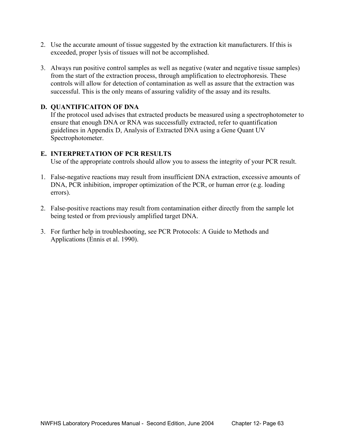- 2. Use the accurate amount of tissue suggested by the extraction kit manufacturers. If this is exceeded, proper lysis of tissues will not be accomplished.
- 3. Always run positive control samples as well as negative (water and negative tissue samples) from the start of the extraction process, through amplification to electrophoresis. These controls will allow for detection of contamination as well as assure that the extraction was successful. This is the only means of assuring validity of the assay and its results.

# **D. QUANTIFICAITON OF DNA**

 If the protocol used advises that extracted products be measured using a spectrophotometer to ensure that enough DNA or RNA was successfully extracted, refer to quantification guidelines in Appendix D, Analysis of Extracted DNA using a Gene Quant UV Spectrophotometer.

# **E. INTERPRETATION OF PCR RESULTS**

Use of the appropriate controls should allow you to assess the integrity of your PCR result.

- 1. False-negative reactions may result from insufficient DNA extraction, excessive amounts of DNA, PCR inhibition, improper optimization of the PCR, or human error (e.g. loading errors).
- 2. False-positive reactions may result from contamination either directly from the sample lot being tested or from previously amplified target DNA.
- 3. For further help in troubleshooting, see PCR Protocols: A Guide to Methods and Applications (Ennis et al. 1990).